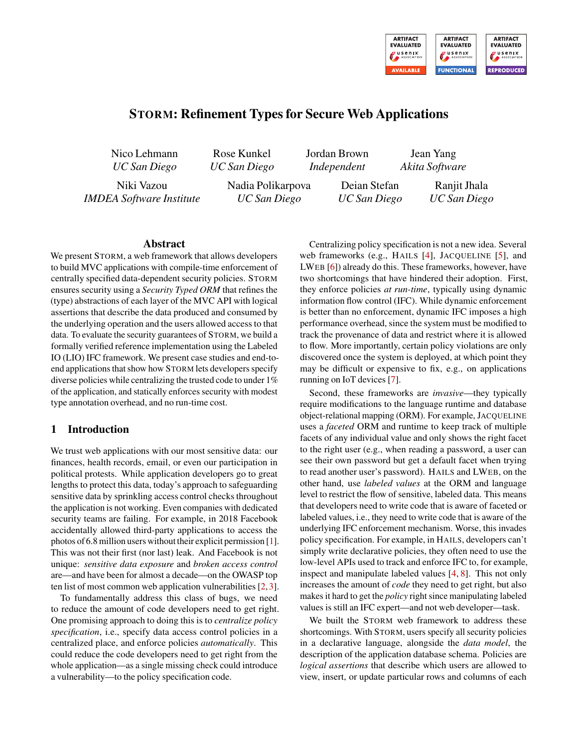

# STORM: Refinement Types for Secure Web Applications

Nico Lehmann *UC San Diego*

Rose Kunkel *UC San Diego* Jordan Brown *Independent*

Jean Yang *Akita Software*

Niki Vazou *IMDEA Software Institute* Nadia Polikarpova *UC San Diego*

Deian Stefan *UC San Diego* Ranjit Jhala *UC San Diego*

#### Abstract

We present STORM, a web framework that allows developers to build MVC applications with compile-time enforcement of centrally specified data-dependent security policies. STORM ensures security using a *Security Typed ORM* that refines the (type) abstractions of each layer of the MVC API with logical assertions that describe the data produced and consumed by the underlying operation and the users allowed access to that data. To evaluate the security guarantees of STORM, we build a formally verified reference implementation using the Labeled IO (LIO) IFC framework. We present case studies and end-toend applications that show how STORM lets developers specify diverse policies while centralizing the trusted code to under 1% of the application, and statically enforces security with modest type annotation overhead, and no run-time cost.

#### 1 Introduction

We trust web applications with our most sensitive data: our finances, health records, email, or even our participation in political protests. While application developers go to great lengths to protect this data, today's approach to safeguarding sensitive data by sprinkling access control checks throughout the application is not working. Even companies with dedicated security teams are failing. For example, in 2018 Facebook accidentally allowed third-party applications to access the photos of 6.8 million users without their explicit permission [\[1\]](#page-14-0). This was not their first (nor last) leak. And Facebook is not unique: *sensitive data exposure* and *broken access control* are—and have been for almost a decade—on the OWASP top ten list of most common web application vulnerabilities [\[2,](#page-14-1) [3\]](#page-14-2).

To fundamentally address this class of bugs, we need to reduce the amount of code developers need to get right. One promising approach to doing this is to *centralize policy specification*, i.e., specify data access control policies in a centralized place, and enforce policies *automatically*. This could reduce the code developers need to get right from the whole application—as a single missing check could introduce a vulnerability—to the policy specification code.

Centralizing policy specification is not a new idea. Several web frameworks (e.g., HAILS [\[4\]](#page-14-3), JACQUELINE [\[5\]](#page-14-4), and LWEB [\[6\]](#page-14-5)) already do this. These frameworks, however, have two shortcomings that have hindered their adoption. First, they enforce policies *at run-time*, typically using dynamic information flow control (IFC). While dynamic enforcement is better than no enforcement, dynamic IFC imposes a high performance overhead, since the system must be modified to track the provenance of data and restrict where it is allowed to flow. More importantly, certain policy violations are only discovered once the system is deployed, at which point they may be difficult or expensive to fix, e.g., on applications running on IoT devices [\[7\]](#page-14-6).

Second, these frameworks are *invasive*—they typically require modifications to the language runtime and database object-relational mapping (ORM). For example, JACQUELINE uses a *faceted* ORM and runtime to keep track of multiple facets of any individual value and only shows the right facet to the right user (e.g., when reading a password, a user can see their own password but get a default facet when trying to read another user's password). HAILS and LWEB, on the other hand, use *labeled values* at the ORM and language level to restrict the flow of sensitive, labeled data. This means that developers need to write code that is aware of faceted or labeled values, i.e., they need to write code that is aware of the underlying IFC enforcement mechanism. Worse, this invades policy specification. For example, in HAILS, developers can't simply write declarative policies, they often need to use the low-level APIs used to track and enforce IFC to, for example, inspect and manipulate labeled values [\[4,](#page-14-3) [8\]](#page-14-7). This not only increases the amount of *code* they need to get right, but also makes it hard to get the *policy* right since manipulating labeled values is still an IFC expert—and not web developer—task.

We built the STORM web framework to address these shortcomings. With STORM, users specify all security policies in a declarative language, alongside the *data model*, the description of the application database schema. Policies are *logical assertions* that describe which users are allowed to view, insert, or update particular rows and columns of each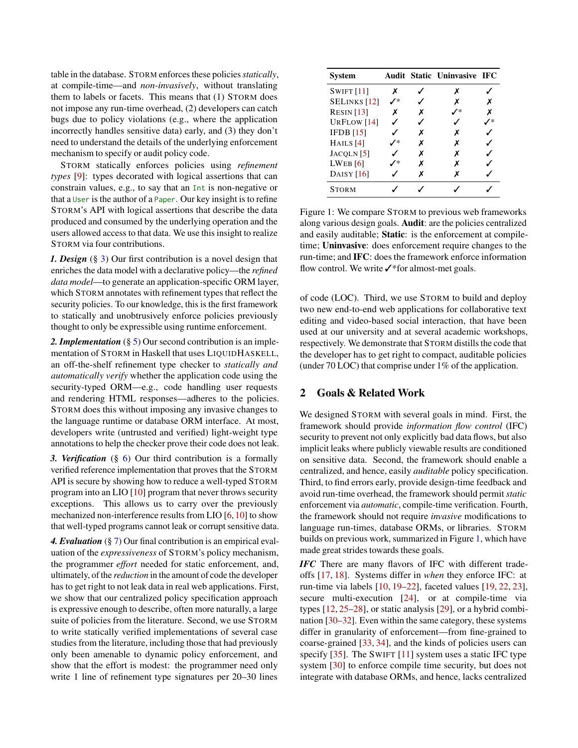table in the database. STORM enforces these policies*statically*, at compile-time—and *non-invasively*, without translating them to labels or facets. This means that (1) STORM does not impose any run-time overhead, (2) developers can catch bugs due to policy violations (e.g., where the application incorrectly handles sensitive data) early, and (3) they don't need to understand the details of the underlying enforcement mechanism to specify or audit policy code.

STORM statically enforces policies using *refinement types* [\[9\]](#page-14-8): types decorated with logical assertions that can constrain values, e.g., to say that an Int is non-negative or that a User is the author of a Paper. Our key insight is to refine STORM's API with logical assertions that describe the data produced and consumed by the underlying operation and the users allowed access to that data. We use this insight to realize STORM via four contributions.

*1. Design* (§ [3\)](#page-2-0) Our first contribution is a novel design that enriches the data model with a declarative policy—the *refined data model*—to generate an application-specific ORM layer, which STORM annotates with refinement types that reflect the security policies. To our knowledge, this is the first framework to statically and unobtrusively enforce policies previously thought to only be expressible using runtime enforcement.

*2. Implementation* (§ [5\)](#page-6-0) Our second contribution is an implementation of STORM in Haskell that uses LIQUIDHASKELL, an off-the-shelf refinement type checker to *statically and automatically verify* whether the application code using the security-typed ORM—e.g., code handling user requests and rendering HTML responses—adheres to the policies. STORM does this without imposing any invasive changes to the language runtime or database ORM interface. At most, developers write (untrusted and verified) light-weight type annotations to help the checker prove their code does not leak.

*3. Verification* (§ [6\)](#page-10-0) Our third contribution is a formally verified reference implementation that proves that the STORM API is secure by showing how to reduce a well-typed STORM program into an LIO [\[10\]](#page-14-9) program that never throws security exceptions. This allows us to carry over the previously mechanized non-interference results from LIO [\[6,](#page-14-5) [10\]](#page-14-9) to show that well-typed programs cannot leak or corrupt sensitive data.

*4. Evaluation* (§ [7\)](#page-11-0) Our final contribution is an empirical evaluation of the *expressiveness* of STORM's policy mechanism, the programmer *effort* needed for static enforcement, and, ultimately, of the *reduction* in the amount of code the developer has to get right to not leak data in real web applications. First, we show that our centralized policy specification approach is expressive enough to describe, often more naturally, a large suite of policies from the literature. Second, we use STORM to write statically verified implementations of several case studies from the literature, including those that had previously only been amenable to dynamic policy enforcement, and show that the effort is modest: the programmer need only write 1 line of refinement type signatures per 20–30 lines

<span id="page-1-0"></span>

| System              |    |   | Audit Static Uninvasive IFC |  |
|---------------------|----|---|-----------------------------|--|
| SWIFT $[11]$        | x  |   | x                           |  |
| <b>SELINKS</b> [12] | ∕* |   | x                           |  |
| RESIN $[13]$        | x  |   |                             |  |
| URFLOW [14]         |    |   |                             |  |
| <b>IFDB</b> [15]    |    | х | х                           |  |
| HAILS $[4]$         | ∕* | x | х                           |  |
| $JACQLN$ [5]        |    | x | х                           |  |
| $LWEB$ [6]          | ∕* |   | x                           |  |
| DAISY $[16]$        |    |   | x                           |  |
| <b>STORM</b>        |    |   |                             |  |

Figure 1: We compare STORM to previous web frameworks along various design goals. Audit: are the policies centralized and easily auditable; Static: is the enforcement at compiletime; Uninvasive: does enforcement require changes to the run-time; and IFC: does the framework enforce information flow control. We write ✓\*for almost-met goals.

of code (LOC). Third, we use STORM to build and deploy two new end-to-end web applications for collaborative text editing and video-based social interaction, that have been used at our university and at several academic workshops, respectively. We demonstrate that STORM distills the code that the developer has to get right to compact, auditable policies (under 70 LOC) that comprise under 1% of the application.

#### 2 Goals & Related Work

We designed STORM with several goals in mind. First, the framework should provide *information flow control* (IFC) security to prevent not only explicitly bad data flows, but also implicit leaks where publicly viewable results are conditioned on sensitive data. Second, the framework should enable a centralized, and hence, easily *auditable* policy specification. Third, to find errors early, provide design-time feedback and avoid run-time overhead, the framework should permit *static* enforcement via *automatic*, compile-time verification. Fourth, the framework should not require *invasive* modifications to language run-times, database ORMs, or libraries. STORM builds on previous work, summarized in Figure [1,](#page-1-0) which have made great strides towards these goals.

*IFC* There are many flavors of IFC with different tradeoffs [\[17,](#page-14-16) [18\]](#page-14-17). Systems differ in *when* they enforce IFC: at run-time via labels [\[10,](#page-14-9) [19–](#page-14-18)[22\]](#page-14-19), faceted values [\[19,](#page-14-18) [22,](#page-14-19) [23\]](#page-14-20), secure multi-execution [\[24\]](#page-14-21), or at compile-time via types [\[12,](#page-14-11) [25](#page-15-0)[–28\]](#page-15-1), or static analysis [\[29\]](#page-15-2), or a hybrid combination [\[30–](#page-15-3)[32\]](#page-15-4). Even within the same category, these systems differ in granularity of enforcement—from fine-grained to coarse-grained [\[33,](#page-15-5) [34\]](#page-15-6), and the kinds of policies users can specify [\[35\]](#page-15-7). The SWIFT [\[11\]](#page-14-10) system uses a static IFC type system [\[30\]](#page-15-3) to enforce compile time security, but does not integrate with database ORMs, and hence, lacks centralized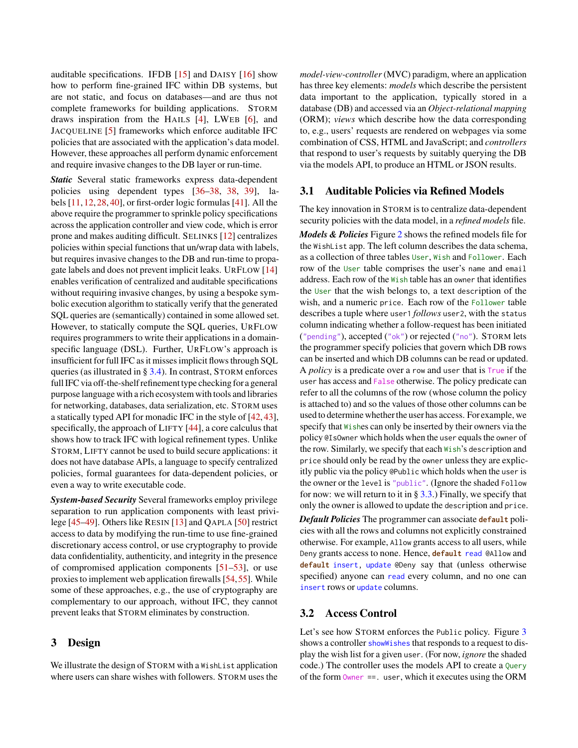auditable specifications. IFDB [\[15\]](#page-14-14) and DAISY [\[16\]](#page-14-15) show how to perform fine-grained IFC within DB systems, but are not static, and focus on databases—and are thus not complete frameworks for building applications. STORM draws inspiration from the HAILS [\[4\]](#page-14-3), LWEB [\[6\]](#page-14-5), and JACQUELINE [\[5\]](#page-14-4) frameworks which enforce auditable IFC policies that are associated with the application's data model. However, these approaches all perform dynamic enforcement and require invasive changes to the DB layer or run-time.

*Static* Several static frameworks express data-dependent policies using dependent types [\[36](#page-15-8)[–38,](#page-15-9) [38,](#page-15-9) [39\]](#page-15-10), labels [\[11,](#page-14-10) [12,](#page-14-11) [28,](#page-15-1) [40\]](#page-15-11), or first-order logic formulas [\[41\]](#page-15-12). All the above require the programmer to sprinkle policy specifications across the application controller and view code, which is error prone and makes auditing difficult. SELINKS [\[12\]](#page-14-11) centralizes policies within special functions that un/wrap data with labels, but requires invasive changes to the DB and run-time to propagate labels and does not prevent implicit leaks. URFLOW [\[14\]](#page-14-13) enables verification of centralized and auditable specifications without requiring invasive changes, by using a bespoke symbolic execution algorithm to statically verify that the generated SQL queries are (semantically) contained in some allowed set. However, to statically compute the SQL queries, URFLOW requires programmers to write their applications in a domainspecific language (DSL). Further, URFLOW's approach is insufficient for full IFC as it misses implicit flows through SQL queries (as illustrated in § [3.4\)](#page-4-0). In contrast, STORM enforces full IFC via off-the-shelf refinement type checking for a general purpose language with a rich ecosystem with tools and libraries for networking, databases, data serialization, etc. STORM uses a statically typed API for monadic IFC in the style of [\[42,](#page-15-13) [43\]](#page-15-14), specifically, the approach of LIFTY [\[44\]](#page-15-15), a core calculus that shows how to track IFC with logical refinement types. Unlike STORM, LIFTY cannot be used to build secure applications: it does not have database APIs, a language to specify centralized policies, formal guarantees for data-dependent policies, or even a way to write executable code.

*System-based Security* Several frameworks employ privilege separation to run application components with least privilege [\[45](#page-15-16)[–49\]](#page-15-17). Others like RESIN [\[13\]](#page-14-12) and QAPLA [\[50\]](#page-15-18) restrict access to data by modifying the run-time to use fine-grained discretionary access control, or use cryptography to provide data confidentiality, authenticity, and integrity in the presence of compromised application components [\[51](#page-16-0)[–53\]](#page-16-1), or use proxies to implement web application firewalls [\[54,](#page-16-2)[55\]](#page-16-3). While some of these approaches, e.g., the use of cryptography are complementary to our approach, without IFC, they cannot prevent leaks that STORM eliminates by construction.

### <span id="page-2-0"></span>3 Design

We illustrate the design of STORM with a WishList application where users can share wishes with followers. STORM uses the

*model-view-controller* (MVC) paradigm, where an application has three key elements: *models* which describe the persistent data important to the application, typically stored in a database (DB) and accessed via an *Object-relational mapping* (ORM); *views* which describe how the data corresponding to, e.g., users' requests are rendered on webpages via some combination of CSS, HTML and JavaScript; and *controllers* that respond to user's requests by suitably querying the DB via the models API, to produce an HTML or JSON results.

#### 3.1 Auditable Policies via Refined Models

The key innovation in STORM is to centralize data-dependent security policies with the data model, in a *refined models* file. *Models & Policies* Figure [2](#page-3-0) shows the refined models file for the WishList app. The left column describes the data schema, as a collection of three tables User, Wish and Follower. Each row of the User table comprises the user's name and email address. Each row of the Wish table has an owner that identifies the User that the wish belongs to, a text description of the wish, and a numeric price. Each row of the Follower table describes a tuple where user1 *follows* user2, with the status column indicating whether a follow-request has been initiated ("pending"), accepted ("ok") or rejected ("no"). STORM lets the programmer specify policies that govern which DB rows can be inserted and which DB columns can be read or updated. A *policy* is a predicate over a row and user that is True if the user has access and False otherwise. The policy predicate can refer to all the columns of the row (whose column the policy is attached to) and so the values of those other columns can be used to determine whether the user has access. For example, we specify that Wishes can only be inserted by their owners via the policy @IsOwner which holds when the user equals the owner of the row. Similarly, we specify that each Wish's description and price should only be read by the owner unless they are explicitly public via the policy @Public which holds when the user is the owner or the level is "public". (Ignore the shaded Follow for now: we will return to it in § [3.3.](#page-3-1)) Finally, we specify that only the owner is allowed to update the description and price.

*Default Policies* The programmer can associate **default** policies with all the rows and columns not explicitly constrained otherwise. For example, Allow grants access to all users, while Deny grants access to none. Hence, **default** read @Allow and **default** insert, update @Deny say that (unless otherwise specified) anyone can read every column, and no one can insert rows or update columns.

#### <span id="page-2-1"></span>3.2 Access Control

Let's see how STORM enforces the Public policy. Figure [3](#page-3-2) shows a controller showWishes that responds to a request to display the wish list for a given user. (For now, *ignore* the shaded code.) The controller uses the models API to create a Query of the form Owner ==. user, which it executes using the ORM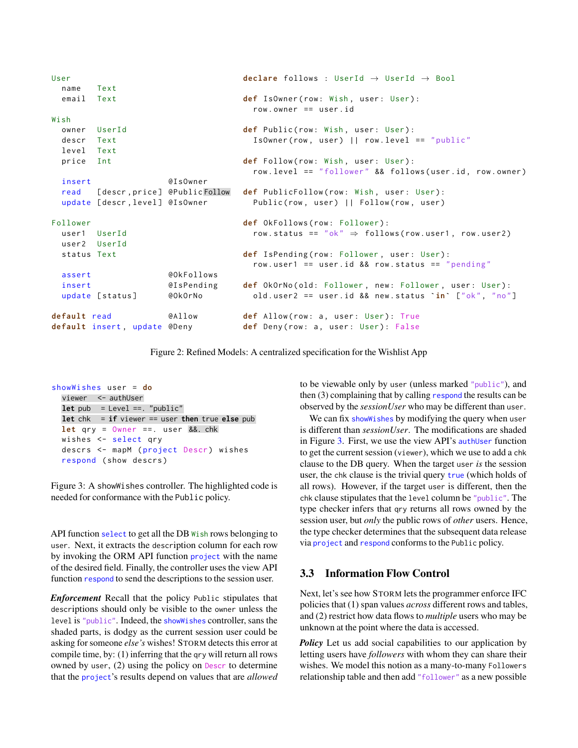<span id="page-3-0"></span>

| User         |                                |                                   | declare follows : UserId $\rightarrow$ UserId $\rightarrow$ Bool |
|--------------|--------------------------------|-----------------------------------|------------------------------------------------------------------|
| name         | Text                           |                                   |                                                                  |
| email        | Text                           |                                   | def IsOwner(row: Wish, user: User):<br>$row. owner == user.id$   |
| Wish         |                                |                                   |                                                                  |
| owner        | UserId                         |                                   | def Public(row: Wish, user: User):                               |
| descr        | Text                           |                                   | $IsOwner(row, user)    row. level == "public"$                   |
| level Text   |                                |                                   |                                                                  |
| price Int    |                                |                                   | def Follow(row: Wish, user: User):                               |
|              |                                |                                   | row.level == "follower" && follows(user.id, row.owner)           |
| insert       |                                | @IsOwner                          |                                                                  |
|              |                                | read [descr, price] @PublicFollow | def PublicFollow(row: Wish, user: User):                         |
|              | update [descr, level] @IsOwner |                                   | Public(row, user)    Follow(row, user)                           |
| Follower     |                                |                                   | def OkFollows(row: Follower):                                    |
| user1 UserId |                                |                                   | row.status == "ok" $\Rightarrow$ follows(row.user1, row.user2)   |
| user2 UserId |                                |                                   |                                                                  |
| status Text  |                                |                                   | def IsPending(row: Follower, user: User):                        |
|              |                                |                                   | row.user1 == user.id && row.status == "pending"                  |
| assert       |                                | @OkFollows                        |                                                                  |
| insert       |                                | @IsPending                        | def OkOrNo(old: Follower, new: Follower, user: User):            |
|              | update [status]                | @OkOrNo                           | old.user2 == user.id $\&$ new.status $\sin$ ["ok", "no"]         |
| default read |                                | @Allow                            | def Allow(row: a, user: User): True                              |
|              | default insert, update @Deny   |                                   | def Deny(row: a, user: User): False                              |

Figure 2: Refined Models: A centralized specification for the Wishlist App

<span id="page-3-2"></span>showWishes user = **do** viewer <- authUser  $let pub = Level ==. "public"$ **let** chk = **if** viewer == user **then** true **else** pub **let** qry = Owner ==. user &&. chk wishes <- select qry descrs <- mapM (project Descr) wishes respond ( show descrs )

Figure 3: A showWishes controller. The highlighted code is needed for conformance with the Public policy.

API function select to get all the DB Wish rows belonging to user. Next, it extracts the description column for each row by invoking the ORM API function project with the name of the desired field. Finally, the controller uses the view API function respond to send the descriptions to the session user.

*Enforcement* Recall that the policy Public stipulates that descriptions should only be visible to the owner unless the level is "public". Indeed, the showWishes controller, sans the shaded parts, is dodgy as the current session user could be asking for someone *else's* wishes! STORM detects this error at compile time, by: (1) inferring that the qry will return all rows owned by user, (2) using the policy on Descr to determine that the project's results depend on values that are *allowed* to be viewable only by user (unless marked "public"), and then (3) complaining that by calling respond the results can be observed by the *sessionUser* who may be different than user.

We can fix show Wishes by modifying the query when user is different than *sessionUser*. The modifications are shaded in Figure [3.](#page-3-2) First, we use the view API's authUser function to get the current session (viewer), which we use to add a chk clause to the DB query. When the target user *is* the session user, the chk clause is the trivial query true (which holds of all rows). However, if the target user is different, then the chk clause stipulates that the level column be "public". The type checker infers that qry returns all rows owned by the session user, but *only* the public rows of *other* users. Hence, the type checker determines that the subsequent data release via project and respond conforms to the Public policy.

# <span id="page-3-1"></span>3.3 Information Flow Control

Next, let's see how STORM lets the programmer enforce IFC policies that (1) span values *across* different rows and tables, and (2) restrict how data flows to *multiple* users who may be unknown at the point where the data is accessed.

*Policy* Let us add social capabilities to our application by letting users have *followers* with whom they can share their wishes. We model this notion as a many-to-many Followers relationship table and then add "follower" as a new possible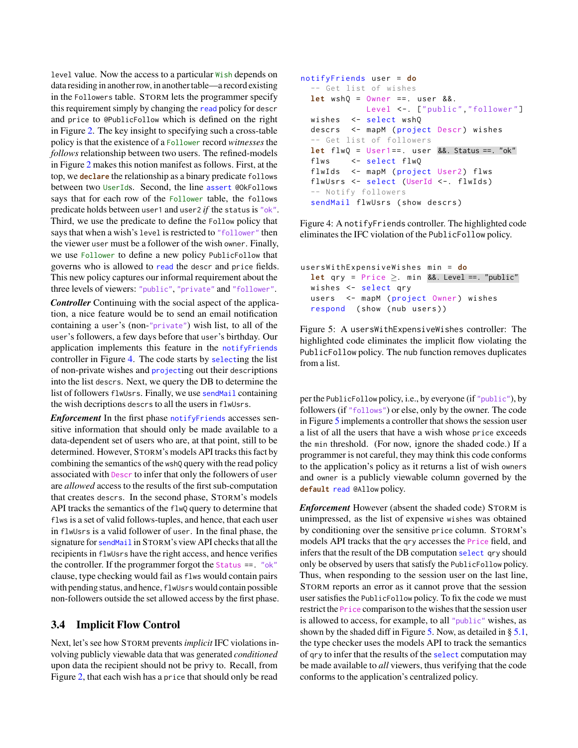level value. Now the access to a particular Wish depends on data residing in another row, in another table—a record existing in the Followers table. STORM lets the programmer specify this requirement simply by changing the read policy for descr and price to @PublicFollow which is defined on the right in Figure [2.](#page-3-0) The key insight to specifying such a cross-table policy is that the existence of a Follower record *witnesses* the *follows* relationship between two users. The refined-models in Figure [2](#page-3-0) makes this notion manifest as follows. First, at the top, we **declare** the relationship as a binary predicate follows between two UserIds. Second, the line assert @OkFollows says that for each row of the Follower table, the follows predicate holds between user1 and user2 *if* the status is "ok". Third, we use the predicate to define the Follow policy that says that when a wish's level is restricted to "follower" then the viewer user must be a follower of the wish owner. Finally, we use Follower to define a new policy PublicFollow that governs who is allowed to read the descr and price fields. This new policy captures our informal requirement about the three levels of viewers: "public", "private" and "follower".

*Controller* Continuing with the social aspect of the application, a nice feature would be to send an email notification containing a user's (non-"private") wish list, to all of the user's followers, a few days before that user's birthday. Our application implements this feature in the notifyFriends controller in Figure [4.](#page-4-1) The code starts by selecting the list of non-private wishes and projecting out their descriptions into the list descrs. Next, we query the DB to determine the list of followers flwUsrs. Finally, we use sendMail containing the wish decriptions descrs to all the users in flwUsrs.

*Enforcement* In the first phase notify Friends accesses sensitive information that should only be made available to a data-dependent set of users who are, at that point, still to be determined. However, STORM's models API tracks this fact by combining the semantics of the wshQ query with the read policy associated with Descr to infer that only the followers of user are *allowed* access to the results of the first sub-computation that creates descrs. In the second phase, STORM's models API tracks the semantics of the flwQ query to determine that flws is a set of valid follows-tuples, and hence, that each user in flwUsrs is a valid follower of user. In the final phase, the signature for sendMail in STORM's view API checks that all the recipients in flwUsrs have the right access, and hence verifies the controller. If the programmer forgot the Status ==. "ok" clause, type checking would fail as flws would contain pairs with pending status, and hence, flwUsrswould contain possible non-followers outside the set allowed access by the first phase.

### <span id="page-4-0"></span>3.4 Implicit Flow Control

Next, let's see how STORM prevents *implicit* IFC violations involving publicly viewable data that was generated *conditioned* upon data the recipient should not be privy to. Recall, from Figure [2,](#page-3-0) that each wish has a price that should only be read

```
notifyFriends user = do
  -- Get list of wishes
  let wshQ = Owner ==. user &&.
             Level <-. ["public","follower"]
  wishes <- select wshQ
  descrs <- mapM (project Descr) wishes
  -- Get list of followers
  let flwQ = User1 ==. user &&. Status ==. "ok"
  flws <- select flwQ
  flwIds <- mapM (project User2) flws
  flwUsrs <- select (UserId <-. flwIds)
  -- Notify followers
  sendMail flwUsrs ( show descrs )
```
Figure 4: A notifyFriends controller. The highlighted code eliminates the IFC violation of the PublicFollow policy.

```
usersWithExpensiveWishes min = do
  let qry = Price \geq. min &&. Level ==. "public"
  wishes <- select qry
  users <- mapM (project Owner) wishes
  respond ( show ( nub users ) )
```
Figure 5: A usersWithExpensiveWishes controller: The highlighted code eliminates the implicit flow violating the PublicFollow policy. The nub function removes duplicates from a list.

per the PublicFollow policy, i.e., by everyone (if "public"), by followers (if "follows") or else, only by the owner. The code in Figure [5](#page-4-2) implements a controller that shows the session user a list of all the users that have a wish whose price exceeds the min threshold. (For now, ignore the shaded code.) If a programmer is not careful, they may think this code conforms to the application's policy as it returns a list of wish owners and owner is a publicly viewable column governed by the **default** read @Allow policy.

*Enforcement* However (absent the shaded code) STORM is unimpressed, as the list of expensive wishes was obtained by conditioning over the sensitive price column. STORM's models API tracks that the qry accesses the Price field, and infers that the result of the DB computation select qry should only be observed by users that satisfy the PublicFollow policy. Thus, when responding to the session user on the last line, STORM reports an error as it cannot prove that the session user satisfies the PublicFollow policy. To fix the code we must restrict the Price comparison to the wishes that the session user is allowed to access, for example, to all "public" wishes, as shown by the shaded diff in Figure [5.](#page-4-2) Now, as detailed in  $\S 5.1$ , the type checker uses the models API to track the semantics of qry to infer that the results of the select computation may be made available to *all* viewers, thus verifying that the code conforms to the application's centralized policy.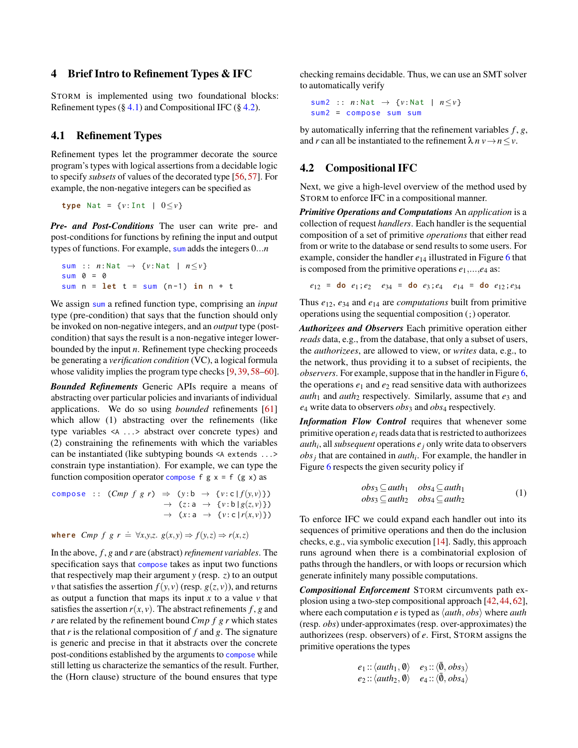#### 4 Brief Intro to Refinement Types & IFC

STORM is implemented using two foundational blocks: Refinement types  $(\S 4.1)$  $(\S 4.1)$  and Compositional IFC  $(\S 4.2)$  $(\S 4.2)$ .

# <span id="page-5-0"></span>4.1 Refinement Types

Refinement types let the programmer decorate the source program's types with logical assertions from a decidable logic to specify *subsets* of values of the decorated type [\[56,](#page-16-4) [57\]](#page-16-5). For example, the non-negative integers can be specified as

**type** Nat = { $v:$ Int |  $0 \le v$ }

*Pre- and Post-Conditions* The user can write pre- and post-conditions for functions by refining the input and output types of functions. For example, sum adds the integers 0...*n*

```
sum :: n: Nat → {v: Nat | n≤v}
sum 0 = 0sum n = let t = sum (n-1) in n + t
```
We assign sum a refined function type, comprising an *input* type (pre-condition) that says that the function should only be invoked on non-negative integers, and an *output* type (postcondition) that says the result is a non-negative integer lowerbounded by the input *n*. Refinement type checking proceeds be generating a *verification condition* (VC), a logical formula whose validity implies the program type checks [\[9,](#page-14-8) [39,](#page-15-10) [58](#page-16-6)[–60\]](#page-16-7).

*Bounded Refinements* Generic APIs require a means of abstracting over particular policies and invariants of individual applications. We do so using *bounded* refinements [\[61\]](#page-16-8) which allow (1) abstracting over the refinements (like type variables <A ...> abstract over concrete types) and (2) constraining the refinements with which the variables can be instantiated (like subtyping bounds <A extends ...> constrain type instantiation). For example, we can type the function composition operator compose f  $g \times = f(g \times)$  as

compose ::  $(\text{Cmp } f \text{ } g \text{ } r) \Rightarrow (\text{y:b } \rightarrow \{v:c | f(y,v)\})$  $\rightarrow$  (*z*: a  $\rightarrow$  {*v*: b | *g*(*z*, *v*) })  $\rightarrow$  (*x*: a  $\rightarrow$  {*v*: c |*r*(*x*, *v*)})

**where**  $Cmp f g r \doteq \forall x, y, z. g(x, y) \Rightarrow f(y, z) \Rightarrow r(x, z)$ 

In the above, *f* , *g* and *r* are (abstract)*refinement variables*. The specification says that compose takes as input two functions that respectively map their argument *y* (resp. *z*) to an output *v* that satisfies the assertion  $f(y, v)$  (resp.  $g(z, v)$ ), and returns as output a function that maps its input  $x$  to a value  $v$  that satisfies the assertion  $r(x, y)$ . The abstract refinements  $f$ ,  $g$  and *r* are related by the refinement bound*Cmp f g r* which states that *r* is the relational composition of *f* and *g*. The signature is generic and precise in that it abstracts over the concrete post-conditions established by the arguments to compose while still letting us characterize the semantics of the result. Further, the (Horn clause) structure of the bound ensures that type

checking remains decidable. Thus, we can use an SMT solver to automatically verify

sum2 :: *n*:Nat → {*v*:Nat | *n*≤*v*} sum2 = compose sum sum

by automatically inferring that the refinement variables *f* , *g*, and *r* can all be instantiated to the refinement  $\lambda n v \rightarrow n \leq v$ .

#### <span id="page-5-1"></span>4.2 Compositional IFC

Next, we give a high-level overview of the method used by STORM to enforce IFC in a compositional manner.

*Primitive Operations and Computations* An *application* is a collection of request *handlers*. Each handler is the sequential composition of a set of primitive *operations* that either read from or write to the database or send results to some users. For example, consider the handler *e*<sup>14</sup> illustrated in Figure [6](#page-6-1) that is composed from the primitive operations *e*1,...,*e*<sup>4</sup> as:

$$
e_{12} = \text{do } e_1; e_2 \quad e_{34} = \text{do } e_3; e_4 \quad e_{14} = \text{do } e_{12}; e_{34}
$$

Thus *e*12, *e*<sup>34</sup> and *e*<sup>14</sup> are *computations* built from primitive operations using the sequential composition (;) operator.

*Authorizees and Observers* Each primitive operation either *reads* data, e.g., from the database, that only a subset of users, the *authorizees*, are allowed to view, or *writes* data, e.g., to the network, thus providing it to a subset of recipients, the *observers*. For example, suppose that in the handler in Figure [6,](#page-6-1) the operations  $e_1$  and  $e_2$  read sensitive data with authorizees  $auth<sub>1</sub>$  and  $auth<sub>2</sub>$  respectively. Similarly, assume that  $e<sub>3</sub>$  and *e*<sup>4</sup> write data to observers *obs*<sup>3</sup> and *obs*<sup>4</sup> respectively.

*Information Flow Control* requires that whenever some primitive operation  $e_i$  reads data that is restricted to authorizees *auth<sup>i</sup>* , all*subsequent* operations *e<sup>j</sup>* only write data to observers  $obs<sub>j</sub>$  that are contained in *auth<sub>i</sub>*. For example, the handler in Figure [6](#page-6-1) respects the given security policy if

<span id="page-5-2"></span>
$$
obs_3 \subseteq \text{auth}_1 \quad obs_4 \subseteq \text{auth}_1
$$
  

$$
obs_3 \subseteq \text{auth}_2 \quad obs_4 \subseteq \text{auth}_2 \tag{1}
$$

To enforce IFC we could expand each handler out into its sequences of primitive operations and then do the inclusion checks, e.g., via symbolic execution [\[14\]](#page-14-13). Sadly, this approach runs aground when there is a combinatorial explosion of paths through the handlers, or with loops or recursion which generate infinitely many possible computations.

*Compositional Enforcement* STORM circumvents path explosion using a two-step compositional approach [\[42,](#page-15-13) [44,](#page-15-15) [62\]](#page-16-9), where each computation *e* is typed as  $\langle \textit{auth}, \textit{obs} \rangle$  where *auth* (resp. *obs*) under-approximates (resp. over-approximates) the authorizees (resp. observers) of *e*. First, STORM assigns the primitive operations the types

$$
e_1 :: \langle \text{auth}_1, \emptyset \rangle \quad e_3 :: \langle \overline{\emptyset}, \text{obs}_3 \rangle
$$
  
 $e_2 :: \langle \text{auth}_2, \emptyset \rangle \quad e_4 :: \langle \overline{\emptyset}, \text{obs}_4 \rangle$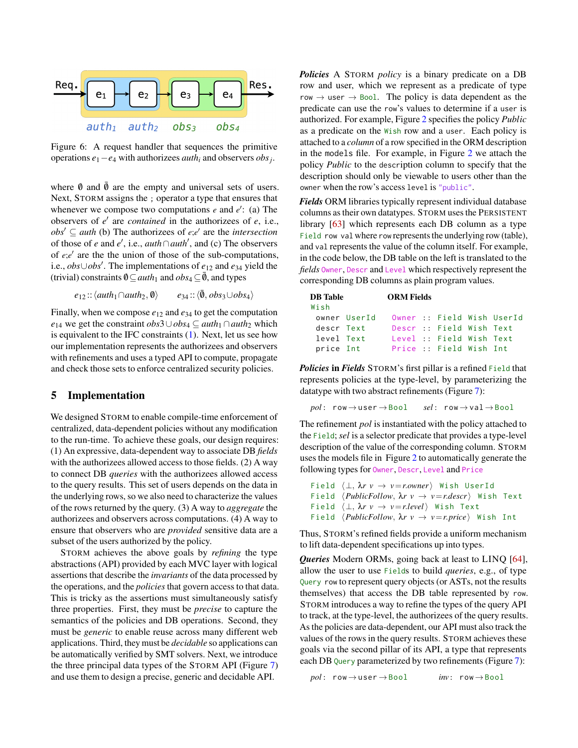<span id="page-6-1"></span>

Figure 6: A request handler that sequences the primitive operations *e*1−*e*<sup>4</sup> with authorizees *auth<sup>i</sup>* and observers *obs<sup>j</sup>* .

where  $\emptyset$  and  $\overline{\emptyset}$  are the empty and universal sets of users. Next, STORM assigns the ; operator a type that ensures that whenever we compose two computations  $e$  and  $e'$ : (a) The observers of *e*<sup>'</sup> are *contained* in the authorizees of *e*, i.e.,  $obs' \subseteq \text{auth (b) The authorities of } e; e' \text{ are the intersection}$ of those of *e* and  $e'$ , i.e., *auth*  $\cap$  *auth*<sup> $\prime$ </sup>, and (c) The observers of *e*;*e'* are the the union of those of the sub-computations, i.e., *obs*∪*obs*<sup>0</sup> . The implementations of *e*<sup>12</sup> and *e*<sup>34</sup> yield the (trivial) constraints  $\mathbf{0} \subseteq \text{auth}_1$  and  $\text{obs}_4 \subseteq \overline{\mathbf{0}}$ , and types

> $e_{12}$  ::  $\langle \textit{auth}_1 \cap \textit{auth}_2, \emptyset \rangle$  $e_{34}$ ::  $\langle \bar{\emptyset}, obs_3 \cup obs_4 \rangle$

Finally, when we compose  $e_{12}$  and  $e_{34}$  to get the computation *e*<sub>14</sub> we get the constraint  $obs3∪obs_4 ⊂ author_1 ∩ author_2$  which is equivalent to the IFC constraints [\(1\)](#page-5-2). Next, let us see how our implementation represents the authorizees and observers with refinements and uses a typed API to compute, propagate and check those sets to enforce centralized security policies.

#### <span id="page-6-0"></span>5 Implementation

We designed STORM to enable compile-time enforcement of centralized, data-dependent policies without any modification to the run-time. To achieve these goals, our design requires: (1) An expressive, data-dependent way to associate DB *fields* with the authorizees allowed access to those fields. (2) A way to connect DB *queries* with the authorizees allowed access to the query results. This set of users depends on the data in the underlying rows, so we also need to characterize the values of the rows returned by the query. (3) A way to *aggregate* the authorizees and observers across computations. (4) A way to ensure that observers who are *provided* sensitive data are a subset of the users authorized by the policy.

STORM achieves the above goals by *refining* the type abstractions (API) provided by each MVC layer with logical assertions that describe the *invariants* of the data processed by the operations, and the *policies* that govern access to that data. This is tricky as the assertions must simultaneously satisfy three properties. First, they must be *precise* to capture the semantics of the policies and DB operations. Second, they must be *generic* to enable reuse across many different web applications. Third, they must be *decidable* so applications can be automatically verified by SMT solvers. Next, we introduce the three principal data types of the STORM API (Figure [7\)](#page-7-1) and use them to design a precise, generic and decidable API.

*Policies* A STORM *policy* is a binary predicate on a DB row and user, which we represent as a predicate of type row  $\rightarrow$  user  $\rightarrow$  Bool. The policy is data dependent as the predicate can use the row's values to determine if a user is authorized. For example, Figure [2](#page-3-0) specifies the policy *Public* as a predicate on the Wish row and a user. Each policy is attached to a *column* of a row specified in the ORM description in the models file. For example, in Figure [2](#page-3-0) we attach the policy *Public* to the description column to specify that the description should only be viewable to users other than the owner when the row's access level is "public".

*Fields* ORM libraries typically represent individual database columns as their own datatypes. STORM uses the PERSISTENT library [\[63\]](#page-16-10) which represents each DB column as a type Field row val where row represents the underlying row (table), and val represents the value of the column itself. For example, in the code below, the DB table on the left is translated to the *fields* Owner, Descr and Level which respectively represent the corresponding DB columns as plain program values.

| <b>DB</b> Table<br>Wish |              | <b>ORM Fields</b> |                          |                            |
|-------------------------|--------------|-------------------|--------------------------|----------------------------|
|                         | owner UserId |                   |                          | Owner :: Field Wish UserId |
| descr Text              |              |                   | Descr :: Field Wish Text |                            |
| level Text              |              |                   | Level :: Field Wish Text |                            |
| price Int               |              |                   | Price :: Field Wish Int  |                            |

*Policies* in *Fields* STORM's first pillar is a refined Field that represents policies at the type-level, by parameterizing the datatype with two abstract refinements (Figure [7\)](#page-7-1):

```
pol: row → user → Bool sel: row → val → Bool
```
The refinement *pol* is instantiated with the policy attached to the Field; *sel* is a selector predicate that provides a type-level description of the value of the corresponding column. STORM uses the models file in Figure [2](#page-3-0) to automatically generate the following types for Owner, Descr, Level and Price

```
Field \langle \perp, \lambda r \vee \rightarrow v=r.owner\rangle Wish UserId
Field \langle \textit{PublicFollow}, \lambda \textit{r} \textit{v} \rightarrow \textit{v} = \textit{r.descr} \rangle Wish Text
Field \langle \perp, \lambda r \nu \rightarrow v=r. level \rangle Wish Text
Field \langle \textit{PublicFollow}, \lambda \textit{r} \textit{v} \rightarrow \textit{v=r}.\textit{price} \rangle Wish Int
```
Thus, STORM's refined fields provide a uniform mechanism to lift data-dependent specifications up into types.

*Queries* Modern ORMs, going back at least to LINQ [\[64\]](#page-16-11), allow the user to use Fields to build *queries*, e.g., of type Query row to represent query objects (or ASTs, not the results themselves) that access the DB table represented by row. STORM introduces a way to refine the types of the query API to track, at the type-level, the authorizees of the query results. As the policies are data-dependent, our API must also track the values of the rows in the query results. STORM achieves these goals via the second pillar of its API, a type that represents each DB Query parameterized by two refinements (Figure [7\)](#page-7-1):

```
pol: row → user → Bool inv: row → Bool
```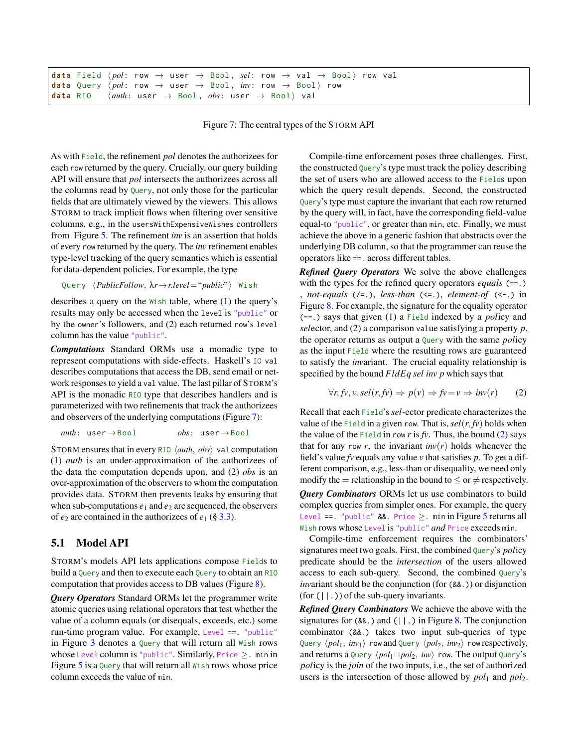```
data Field \langle pol: row \rightarrow user \rightarrow Bool, sel: row \rightarrow val \rightarrow Bool row val
data Query \langle pol: \text{row} \rightarrow \text{user} \rightarrow \text{Bool}, \text{inv}: \text{row} \rightarrow \text{Bool} row
data RIO (auth: user → Bool, obs: user → Bool) val
```
Figure 7: The central types of the STORM API

As with Field, the refinement *pol* denotes the authorizees for each row returned by the query. Crucially, our query building API will ensure that *pol* intersects the authorizees across all the columns read by Query, not only those for the particular fields that are ultimately viewed by the viewers. This allows STORM to track implicit flows when filtering over sensitive columns, e.g., in the usersWithExpensiveWishes controllers from Figure [5.](#page-4-2) The refinement *inv* is an assertion that holds of every row returned by the query. The *inv* refinement enables type-level tracking of the query semantics which is essential for data-dependent policies. For example, the type

```
Query hPublicFollow, λr→r.level ="public"i Wish
```
describes a query on the Wish table, where (1) the query's results may only be accessed when the level is "public" or by the owner's followers, and (2) each returned row's level column has the value "public".

*Computations* Standard ORMs use a monadic type to represent computations with side-effects. Haskell's IO val describes computations that access the DB, send email or network responses to yield a val value. The last pillar of STORM's API is the monadic RIO type that describes handlers and is parameterized with two refinements that track the authorizees and observers of the underlying computations (Figure [7\)](#page-7-1):

```
auth: user → Bool obs: user → Bool
```
STORM ensures that in every RIO  $\langle \text{auth}, \text{obs} \rangle$  val computation (1) *auth* is an under-approximation of the authorizees of the data the computation depends upon, and (2) *obs* is an over-approximation of the observers to whom the computation provides data. STORM then prevents leaks by ensuring that when sub-computations  $e_1$  and  $e_2$  are sequenced, the observers of  $e_2$  are contained in the authorizees of  $e_1$  (§ [3.3\)](#page-3-1).

### <span id="page-7-0"></span>5.1 Model API

STORM's models API lets applications compose Fields to build a Query and then to execute each Query to obtain an RIO computation that provides access to DB values (Figure [8\)](#page-8-0).

*Query Operators* Standard ORMs let the programmer write atomic queries using relational operators that test whether the value of a column equals (or disequals, exceeds, etc.) some run-time program value. For example, Level ==. "public" in Figure [3](#page-3-2) denotes a Query that will return all Wish rows whose Level column is "public". Similarly, Price  $\geq$ . min in Figure [5](#page-4-2) is a Query that will return all Wish rows whose price column exceeds the value of min.

Compile-time enforcement poses three challenges. First, the constructed Query's type must track the policy describing the set of users who are allowed access to the Fields upon which the query result depends. Second, the constructed Query's type must capture the invariant that each row returned by the query will, in fact, have the corresponding field-value equal-to "public", or greater than min, etc. Finally, we must achieve the above in a generic fashion that abstracts over the underlying DB column, so that the programmer can reuse the operators like ==. across different tables.

*Refined Query Operators* We solve the above challenges with the types for the refined query operators *equals* (==.) , *not-equals* (/=.), *less-than* (<=.), *element-of* (<-.) in Figure [8.](#page-8-0) For example, the signature for the equality operator (==.) says that given (1) a Field indexed by a *pol*icy and *sel*ector, and (2) a comparison value satisfying a property *p*, the operator returns as output a Query with the same *pol*icy as the input Field where the resulting rows are guaranteed to satisfy the *inv*ariant. The crucial equality relationship is specified by the bound *FldEq sel inv p* which says that

<span id="page-7-2"></span>
$$
\forall r, f v, v. \, sel(r, f v) \Rightarrow p(v) \Rightarrow f v = v \Rightarrow inv(r) \qquad (2)
$$

Recall that each Field's *sel*-ector predicate characterizes the value of the Field in a given row. That is,  $sel(r, fv)$  holds when the value of the Field in row  $r$  is  $fv$ . Thus, the bound  $(2)$  says that for any row *r*, the invariant  $inv(r)$  holds whenever the field's value *fv* equals any value *v* that satisfies *p*. To get a different comparison, e.g., less-than or disequality, we need only modify the = relationship in the bound to  $\leq$  or  $\neq$  respectively. *Query Combinators* ORMs let us use combinators to build complex queries from simpler ones. For example, the query Level ==. "public" &&. Price >. min in Figure [5](#page-4-2) returns all Wish rows whose Level is "public" *and* Price exceeds min.

Compile-time enforcement requires the combinators' signatures meet two goals. First, the combined Query's *pol*icy predicate should be the *intersection* of the users allowed access to each sub-query. Second, the combined Query's *inv*ariant should be the conjunction (for (&&.)) or disjunction  $(for (||.))$  of the sub-query invariants.

*Refined Query Combinators* We achieve the above with the signatures for  $(88.)$  $(88.)$  $(88.)$  and  $(||.)$  in Figure 8. The conjunction combinator (&&.) takes two input sub-queries of type Query  $\langle pol_1, inv_1 \rangle$  row and Query  $\langle pol_2, inv_2 \rangle$  row respectively, and returns a Query  $\langle pol_1 \sqcup pol_2, inv \rangle$  row. The output Query's *pol*icy is the *join* of the two inputs, i.e., the set of authorized users is the intersection of those allowed by  $pol_1$  and  $pol_2$ .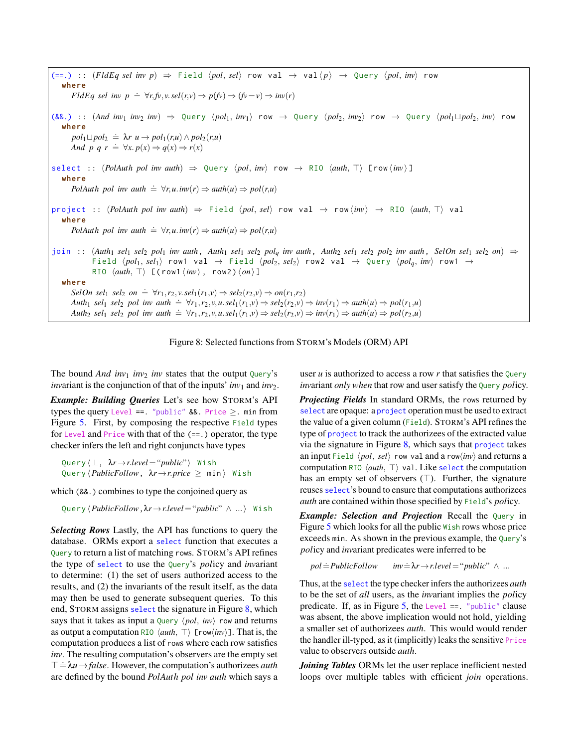<span id="page-8-0"></span> $(==.)$  :: (*FldEq sel inv p*)  $⇒$  Field  $\langle pol, sel \rangle$  row val  $→$  val $\langle p \rangle$   $→$  Query  $\langle pol, inv \rangle$  row **where** *FldEq sel inv*  $p \triangleq \forall r, f v, v.$ *sel*( $r, v$ )  $\Rightarrow p(f v) \Rightarrow (f v = v) \Rightarrow inv(r)$  $(88.)$  ::  $(And inv_1 inv_2 inv) \Rightarrow$  Query  $\langle pol_1, inv_1 \rangle$  row  $\rightarrow$  Query  $\langle pol_2, inv_2 \rangle$  row  $\rightarrow$  Query  $\langle pol_1 \sqcup pol_2, inv \rangle$  row **where**  $p$ *pol*<sub>1</sub>  $\sqcup$  *pol*<sub>2</sub>  $\stackrel{\doteq}{\leq} \lambda r$   $u \rightarrow$   $p$ *ol*<sub>1</sub>(*r*,*u*)  $\wedge$   $p$ *ol*<sub>2</sub>(*r*,*u*) *And p q r*  $\Rightarrow \forall x. p(x) \Rightarrow q(x) \Rightarrow r(x)$  $select :: (PolAuth pol invauth) \Rightarrow Query (pol, inv) row \rightarrow RIO (auth, T) [ row (inv) ]$ **where** *PolAuth pol inv auth*  $\dot{=} \forall r, u \cdot inv(r) \Rightarrow \text{auth}(u) \Rightarrow \text{pol}(r, u)$  $\text{project} :: (PolAuth, \text{pol} \text{ inv } \text{auth}) \Rightarrow \text{Field } \langle \text{pol}, \text{sel} \rangle \text{ row } \text{val} \rightarrow \text{row} \langle \text{inv} \rangle \rightarrow \text{RIO } \langle \text{auth}, \top \rangle \text{ val}$ **where** *PolAuth pol inv auth*  $\Rightarrow \forall r, u \cdot inv(r) \Rightarrow \text{auth}(u) \Rightarrow \text{pol}(r, u)$ join :: (Auth<sub>1</sub> sel<sub>1</sub> sel<sub>2</sub> pol<sub>1</sub> inv auth, Auth<sub>1</sub> sel<sub>1</sub> sel<sub>2</sub> pol<sub>a</sub> inv auth, Auth<sub>2</sub> sel<sub>1</sub> sel<sub>2</sub> pol<sub>2</sub> inv auth, SelOn sel<sub>1</sub> sel<sub>2</sub> on)  $\Rightarrow$ Field  $\langle pol_1, sel_1 \rangle$  row1 val  $\rightarrow$  Field  $\langle pol_2, sel_2 \rangle$  row2 val  $\rightarrow$  Query  $\langle pol_a, inv \rangle$  row1  $\rightarrow$ RIO  $\langle \textit{auth}, \top \rangle$  [(row1 $\langle \textit{inv} \rangle$ , row2) $\langle \textit{on} \rangle$ ] **where**  $SelOn$   $sel<sub>1</sub>$   $sel<sub>2</sub>$   $on \doteq \forall r_1, r_2, v.$   $sel<sub>1</sub>(r_1, v) \Rightarrow sel<sub>2</sub>(r_2, v) \Rightarrow on(r_1, r_2)$ Auth<sub>1</sub> sel<sub>1</sub> sel<sub>2</sub> pol inv auth  $\dot{=} \forall r_1, r_2, v, u$ .sel<sub>1</sub> $(r_1, v) \Rightarrow$  sel<sub>2</sub> $(r_2, v) \Rightarrow inv(r_1) \Rightarrow auth(u) \Rightarrow pol(r_1, u)$ Auth<sub>2</sub> sel<sub>1</sub> sel<sub>2</sub> pol inv auth  $\dot{=} \forall r_1, r_2, v, u$ .sel<sub>1</sub> $(r_1, v) \Rightarrow$  sel<sub>2</sub> $(r_2, v) \Rightarrow inv(r_1) \Rightarrow auth(u) \Rightarrow pol(r_2, u)$ 



The bound  $And inv_1 inv_2 inv$  states that the output Query's *invariant is the conjunction of that of the inputs'*  $inv_1$  *and*  $inv_2$ *.* 

*Example: Building Queries* Let's see how STORM's API types the query Level ==. "public"  $&8.$  Price >. min from Figure [5.](#page-4-2) First, by composing the respective Field types for Level and Price with that of the (==.) operator, the type checker infers the left and right conjuncts have types

Query  $\langle ⊥, \lambda r \rightarrow$ *r.level* = "*public*"} Wish  $\text{Query } \langle \text{PublicFollow}, \ \lambda r \rightarrow r.\text{price} \geq \min \rangle$  Wish

which (&&.) combines to type the conjoined query as

Query h*PublicFollow*,λ*r*→*r*.*level* ="*public*" ∧ ...i Wish

*Selecting Rows* Lastly, the API has functions to query the database. ORMs export a select function that executes a Query to return a list of matching rows. STORM's API refines the type of select to use the Query's *pol*icy and *inv*ariant to determine: (1) the set of users authorized access to the results, and (2) the invariants of the result itself, as the data may then be used to generate subsequent queries. To this end, STORM assigns select the signature in Figure [8,](#page-8-0) which says that it takes as input a  $\Omega$ uery  $\langle pol, inv \rangle$  row and returns as output a computation RIO  $\langle \text{auth}, \top \rangle$  [row $\langle \text{inv} \rangle$ ]. That is, the computation produces a list of rows where each row satisfies *inv*. The resulting computation's observers are the empty set  $\top = \lambda u \rightarrow false$ . However, the computation's authorizees *auth*  $\top = \lambda u$ are defined by the bound *PolAuth pol inv auth* which says a user  $u$  is authorized to access a row  $r$  that satisfies the Query *inv*ariant *only when* that row and user satisfy the Query *pol*icy.

*Projecting Fields* In standard ORMs, the rows returned by select are opaque: a **project** operation must be used to extract the value of a given column (Field). STORM's API refines the type of project to track the authorizees of the extracted value via the signature in Figure  $8$ , which says that project takes an input Field  $\langle pol, sel \rangle$  row val and a row $\langle inv \rangle$  and returns a computation RIO  $\langle \text{auth}, \top \rangle$  val. Like select the computation has an empty set of observers  $(T)$ . Further, the signature reuses select's bound to ensure that computations authorizees *auth* are contained within those specified by Field's *pol*icy.

*Example: Selection and Projection* Recall the Ouery in Figure [5](#page-4-2) which looks for all the public Wish rows whose price exceeds min. As shown in the previous example, the Query's *pol*icy and *inv*ariant predicates were inferred to be

$$
pol = PublicFollow \qquad inv = \lambda r \rightarrow r. level = "public" \wedge ...
$$

Thus, at the select the type checker infers the authorizees *auth* to be the set of *all* users, as the *inv*ariant implies the *pol*icy predicate. If, as in Figure [5,](#page-4-2) the Level  $==$ . "public" clause was absent, the above implication would not hold, yielding a smaller set of authorizees *auth*. This would would render the handler ill-typed, as it (implicitly) leaks the sensitive Price value to observers outside *auth*.

*Joining Tables* ORMs let the user replace inefficient nested loops over multiple tables with efficient *join* operations.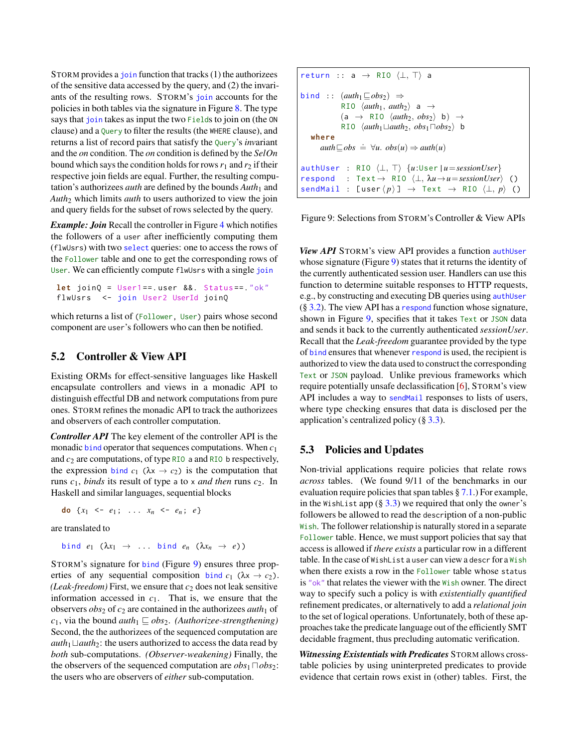STORM provides a *join* function that tracks (1) the authorizees of the sensitive data accessed by the query, and (2) the invariants of the resulting rows. STORM's join accounts for the policies in both tables via the signature in Figure [8.](#page-8-0) The type says that join takes as input the two Fields to join on (the ON clause) and a Query to filter the results (the WHERE clause), and returns a list of record pairs that satisfy the Query's *inv*ariant and the *on* condition. The *on* condition is defined by the *SelOn* bound which says the condition holds for rows  $r_1$  and  $r_2$  if their respective join fields are equal. Further, the resulting computation's authorizees *auth* are defined by the bounds  $Auth<sub>1</sub>$  and *Auth*<sup>2</sup> which limits *auth* to users authorized to view the join and query fields for the subset of rows selected by the query.

*Example: Join* Recall the controller in Figure [4](#page-4-1) which notifies the followers of a user after inefficiently computing them (flwUsrs) with two select queries: one to access the rows of the Follower table and one to get the corresponding rows of User. We can efficiently compute flwUsrs with a single join

```
let joinQ = User1 ==. user &&. Status ==. "ok"
flwUsrs <- join User2 UserId joinQ
```
which returns a list of (Follower, User) pairs whose second component are user's followers who can then be notified.

#### 5.2 Controller & View API

Existing ORMs for effect-sensitive languages like Haskell encapsulate controllers and views in a monadic API to distinguish effectful DB and network computations from pure ones. STORM refines the monadic API to track the authorizees and observers of each controller computation.

*Controller API* The key element of the controller API is the monadic bind operator that sequences computations. When *c*<sup>1</sup> and  $c_2$  are computations, of type RIO a and RIO b respectively, the expression bind  $c_1$  ( $\lambda x \rightarrow c_2$ ) is the computation that runs *c*1, *binds* its result of type a to x *and then* runs *c*2. In Haskell and similar languages, sequential blocks

**do**  $\{x_1 \leftarrow e_1; \ldots, x_n \leftarrow e_n; e\}$ 

are translated to

bind  $e_1$  ( $\lambda x_1 \rightarrow \ldots$  bind  $e_n$  ( $\lambda x_n \rightarrow e$ ))

STORM's signature for bind (Figure [9\)](#page-9-0) ensures three properties of any sequential composition bind  $c_1$  ( $\lambda x \rightarrow c_2$ ).  $(Leak-free dom)$  First, we ensure that  $c_2$  does not leak sensitive information accessed in  $c_1$ . That is, we ensure that the observers  $obs_2$  of  $c_2$  are contained in the authorizees *auth*<sub>1</sub> of *c*<sub>1</sub>, via the bound *auth*<sub>1</sub>  $\sqsubseteq obs_2$ . *(Authorizee-strengthening)* Second, the the authorizees of the sequenced computation are *auth*<sub>1</sub> $\sqcup$ *auth*<sub>2</sub>: the users authorized to access the data read by *both* sub-computations. *(Observer-weakening)* Finally, the the observers of the sequenced computation are  $obs_1 \square obs_2$ : the users who are observers of *either* sub-computation.

<span id="page-9-0"></span>return :: a 
$$
\rightarrow
$$
 RIO  $\langle \bot, \top \rangle$  a  
\nbind ::  $(auth_1 \sqsubseteq obs_2) \Rightarrow$   
\nRIO  $\langle auth_1, auth_2 \rangle$  a  $\rightarrow$   
\n(a  $\rightarrow$  RIO  $\langle auth_1, obs_2 \rangle$  b)  $\rightarrow$   
\nRIO  $\langle auth_1 \sqcup auth_2, obs_2 \rangle$  b)  
\nwhere  
\n $auth \sqsubseteq obs \doteq \forall u. obs(u) \Rightarrow auth(u)$   
\nauthor :: RIO  $\langle \bot, \top \rangle$  { $u:User | u = sessionUser$ }  
\nrespond :: Text  $\rightarrow$  RIO  $\langle \bot, \lambda u \rightarrow u = sessionUser \rangle$  ()  
\nsendMail : [user  $\langle p \rangle$  ]  $\rightarrow$  Text  $\rightarrow$  RIO  $\langle \bot, p \rangle$  ()

Figure 9: Selections from STORM's Controller & View APIs

*View API* STORM's view API provides a function authUser whose signature (Figure [9\)](#page-9-0) states that it returns the identity of the currently authenticated session user. Handlers can use this function to determine suitable responses to HTTP requests, e.g., by constructing and executing DB queries using authUser  $(\S 3.2)$  $(\S 3.2)$ . The view API has a respond function whose signature, shown in Figure [9,](#page-9-0) specifies that it takes Text or JSON data and sends it back to the currently authenticated *sessionUser*. Recall that the *Leak-freedom* guarantee provided by the type of bind ensures that whenever respond is used, the recipient is authorized to view the data used to construct the corresponding Text or JSON payload. Unlike previous frameworks which require potentially unsafe declassification [\[6\]](#page-14-5), STORM's view API includes a way to sendMai1 responses to lists of users, where type checking ensures that data is disclosed per the application's centralized policy  $(\S 3.3)$  $(\S 3.3)$ .

#### 5.3 Policies and Updates

Non-trivial applications require policies that relate rows *across* tables. (We found 9/11 of the benchmarks in our evaluation require policies that span tables § [7.1.](#page-11-1)) For example, in the WishList app  $(\S 3.3)$  $(\S 3.3)$  we required that only the owner's followers be allowed to read the description of a non-public Wish. The follower relationship is naturally stored in a separate Follower table. Hence, we must support policies that say that access is allowed if *there exists* a particular row in a different table. In the case of WishList a user can view a descr for a Wish when there exists a row in the Follower table whose status is "ok" that relates the viewer with the Wish owner. The direct way to specify such a policy is with *existentially quantified* refinement predicates, or alternatively to add a *relational join* to the set of logical operations. Unfortunately, both of these approaches take the predicate language out of the efficiently SMT decidable fragment, thus precluding automatic verification.

*Witnessing Existentials with Predicates* STORM allows crosstable policies by using uninterpreted predicates to provide evidence that certain rows exist in (other) tables. First, the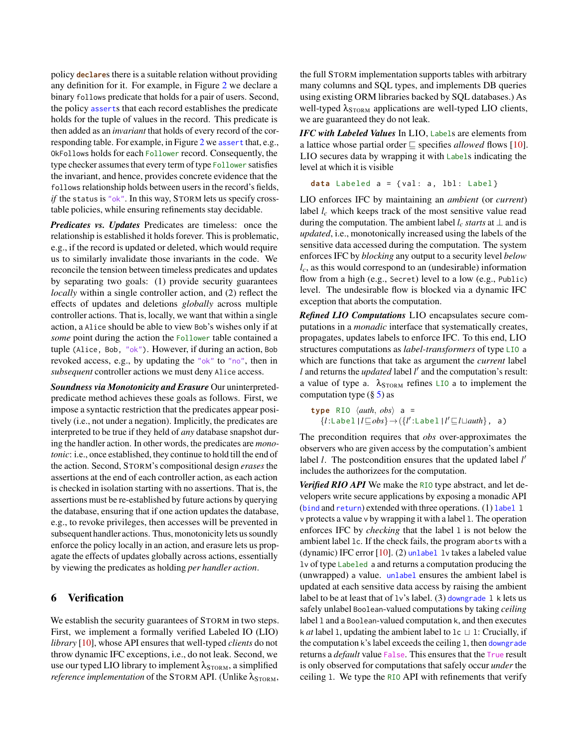policy **declare**s there is a suitable relation without providing any definition for it. For example, in Figure [2](#page-3-0) we declare a binary follows predicate that holds for a pair of users. Second, the policy asserts that each record establishes the predicate holds for the tuple of values in the record. This predicate is then added as an *invariant* that holds of every record of the corresponding table. For example, in Figure [2](#page-3-0) we assert that, e.g., OkFollows holds for each Follower record. Consequently, the type checker assumes that every term of type Follower satisfies the invariant, and hence, provides concrete evidence that the follows relationship holds between users in the record's fields, *if* the status is "ok". In this way, STORM lets us specify crosstable policies, while ensuring refinements stay decidable.

*Predicates vs. Updates* Predicates are timeless: once the relationship is established it holds forever. This is problematic, e.g., if the record is updated or deleted, which would require us to similarly invalidate those invariants in the code. We reconcile the tension between timeless predicates and updates by separating two goals: (1) provide security guarantees *locally* within a single controller action, and (2) reflect the effects of updates and deletions *globally* across multiple controller actions. That is, locally, we want that within a single action, a Alice should be able to view Bob's wishes only if at *some* point during the action the Follower table contained a tuple (Alice, Bob, "ok"). However, if during an action, Bob revoked access, e.g., by updating the "ok" to "no", then in *subsequent* controller actions we must deny Alice access.

*Soundness via Monotonicity and Erasure* Our uninterpretedpredicate method achieves these goals as follows. First, we impose a syntactic restriction that the predicates appear positively (i.e., not under a negation). Implicitly, the predicates are interpreted to be true if they held of *any* database snapshot during the handler action. In other words, the predicates are *monotonic*: i.e., once established, they continue to hold till the end of the action. Second, STORM's compositional design *erases* the assertions at the end of each controller action, as each action is checked in isolation starting with no assertions. That is, the assertions must be re-established by future actions by querying the database, ensuring that if one action updates the database, e.g., to revoke privileges, then accesses will be prevented in subsequent handler actions. Thus, monotonicity lets us soundly enforce the policy locally in an action, and erasure lets us propagate the effects of updates globally across actions, essentially by viewing the predicates as holding *per handler action*.

### <span id="page-10-0"></span>6 Verification

We establish the security guarantees of STORM in two steps. First, we implement a formally verified Labeled IO (LIO) *library* [\[10\]](#page-14-9), whose API ensures that well-typed *clients* do not throw dynamic IFC exceptions, i.e., do not leak. Second, we use our typed LIO library to implement  $\lambda_{STORM}$ , a simplified *reference implementation* of the STORM API. (Unlike  $\lambda_{\text{STORM}}$ , the full STORM implementation supports tables with arbitrary many columns and SQL types, and implements DB queries using existing ORM libraries backed by SQL databases.) As well-typed  $\lambda_{\text{STORM}}$  applications are well-typed LIO clients, we are guaranteed they do not leak.

*IFC with Labeled Values* In LIO, Labels are elements from a lattice whose partial order  $\sqsubseteq$  specifies *allowed* flows [\[10\]](#page-14-9). LIO secures data by wrapping it with Labels indicating the level at which it is visible

$$
data \text{ labeled } a = \{ val: a, \text{ lbl}: \text{ Label} \}
$$

LIO enforces IFC by maintaining an *ambient* (or *current*) label  $l_c$  which keeps track of the most sensitive value read during the computation. The ambient label  $l_c$  *starts* at  $\perp$  and is *updated*, i.e., monotonically increased using the labels of the sensitive data accessed during the computation. The system enforces IFC by *blocking* any output to a security level *below lc*, as this would correspond to an (undesirable) information flow from a high (e.g., Secret) level to a low (e.g., Public) level. The undesirable flow is blocked via a dynamic IFC exception that aborts the computation.

*Refined LIO Computations* LIO encapsulates secure computations in a *monadic* interface that systematically creates, propagates, updates labels to enforce IFC. To this end, LIO structures computations as *label-transformers* of type LIO a which are functions that take as argument the *current* label *l* and returns the *updated* label *l'* and the computation's result: a value of type a.  $\lambda_{\text{STORM}}$  refines LIO a to implement the computation type  $(\S 5)$  $(\S 5)$  as

$$
\text{type RIO} \langle \text{auth}, \text{obs} \rangle \text{ a } = \{l: \text{Label} \mid l \subseteq \text{obs}\} \rightarrow (\{l': \text{Label} \mid l' \sqsubseteq l \sqcup \text{auth}\}, \text{ a})
$$

The precondition requires that *obs* over-approximates the observers who are given access by the computation's ambient label *l*. The postcondition ensures that the updated label *l'* includes the authorizees for the computation.

*Verified RIO API* We make the RIO type abstract, and let developers write secure applications by exposing a monadic API (bind and return) extended with three operations. (1) label l v protects a value v by wrapping it with a label l. The operation enforces IFC by *checking* that the label 1 is not below the ambient label lc. If the check fails, the program aborts with a (dynamic) IFC error  $[10]$ . (2) unlabel 1 $\nu$  takes a labeled value lv of type Labeled a and returns a computation producing the (unwrapped) a value. unlabel ensures the ambient label is updated at each sensitive data access by raising the ambient label to be at least that of  $1v$ 's label. (3) downgrade 1 k lets us safely unlabel Boolean-valued computations by taking *ceiling* label l and a Boolean-valued computation k, and then executes k *at* label 1, updating the ambient label to  $lc \perp l$ : Crucially, if the computation k's label exceeds the ceiling l, then downgrade returns a *default* value False. This ensures that the True result is only observed for computations that safely occur *under* the ceiling l. We type the RIO API with refinements that verify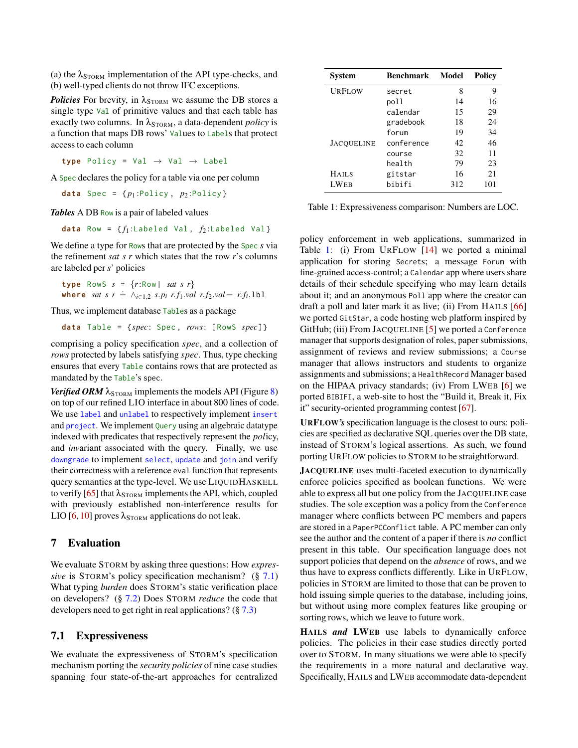(a) the  $\lambda_{STORM}$  implementation of the API type-checks, and (b) well-typed clients do not throw IFC exceptions.

*Policies* For brevity, in  $\lambda_{\text{STORM}}$  we assume the DB stores a single type Val of primitive values and that each table has exactly two columns. In λ<sub>STORM</sub>, a data-dependent *policy* is a function that maps DB rows' Values to Labels that protect access to each column

**type** Policy = Val → Val → Label

A Spec declares the policy for a table via one per column

**data** Spec =  $\{p_1 : \text{Policy}, p_2 : \text{Policy}\}$ 

*Tables* A DB Row is a pair of labeled values

**data** Row =  $\{f_1:$ Labeled Val,  $f_2:$ Labeled Val}

We define a type for Rows that are protected by the Spec *s* via the refinement *sat s r* which states that the row *r*'s columns are labeled per *s*' policies

**type** RowS  $s = \{r:Row \mid sat \ s \ r\}$ where *sat*  $s \, r \doteq \wedge_{i \in 1,2} s.p_i \, r.f_1.val \, r.f_2.val = r.f_i.1b1$ 

Thus, we implement database Tables as a package

**data** Table = {*spec* : Spec , *rows*: [ RowS *spec*]}

comprising a policy specification *spec*, and a collection of *rows* protected by labels satisfying *spec*. Thus, type checking ensures that every Table contains rows that are protected as mandated by the Table's spec.

*Verified ORM*  $\lambda_{STORM}$  implements the models API (Figure [8\)](#page-8-0) on top of our refined LIO interface in about 800 lines of code. We use label and unlabel to respectively implement insert and project. We implement Query using an algebraic datatype indexed with predicates that respectively represent the *pol*icy, and *inv*ariant associated with the query. Finally, we use downgrade to implement select, update and join and verify their correctness with a reference eval function that represents query semantics at the type-level. We use LIQUIDHASKELL to verify [\[65\]](#page-16-12) that  $\lambda_{\text{STORM}}$  implements the API, which, coupled with previously established non-interference results for LIO [\[6,](#page-14-5) [10\]](#page-14-9) proves  $\lambda_{\text{STORM}}$  applications do not leak.

#### <span id="page-11-0"></span>7 Evaluation

We evaluate STORM by asking three questions: How *expressive* is STORM's policy specification mechanism? (§ [7.1\)](#page-11-1) What typing *burden* does STORM's static verification place on developers? (§ [7.2\)](#page-12-0) Does STORM *reduce* the code that developers need to get right in real applications? (§ [7.3\)](#page-12-1)

### <span id="page-11-1"></span>7.1 Expressiveness

We evaluate the expressiveness of STORM's specification mechanism porting the *security policies* of nine case studies spanning four state-of-the-art approaches for centralized

<span id="page-11-2"></span>

| Svstem            | Benchmark  | Model | Policy |  |
|-------------------|------------|-------|--------|--|
| URFLOW            | secret     | 8     | 9      |  |
|                   | poll       | 14    | 16     |  |
|                   | calendar   | 15    | 29     |  |
|                   | gradebook  | 18    | 24     |  |
|                   | forum      | 19    | 34     |  |
| <b>JACOUELINE</b> | conference | 42    | 46     |  |
|                   | course     | 32    | 11     |  |
|                   | health     | 79    | 23     |  |
| <b>HAILS</b>      | gitstar    | 16    | 21     |  |
| <b>LWEB</b>       | bibifi     | 312   | 101    |  |

Table 1: Expressiveness comparison: Numbers are LOC.

policy enforcement in web applications, summarized in Table [1:](#page-11-2) (i) From URFLOW [\[14\]](#page-14-13) we ported a minimal application for storing Secrets; a message Forum with fine-grained access-control; a Calendar app where users share details of their schedule specifying who may learn details about it; and an anonymous Poll app where the creator can draft a poll and later mark it as live; (ii) From HAILS [\[66\]](#page-16-13) we ported GitStar, a code hosting web platform inspired by GitHub; (iii) From JACQUELINE [\[5\]](#page-14-4) we ported a Conference manager that supports designation of roles, paper submissions, assignment of reviews and review submissions; a Course manager that allows instructors and students to organize assignments and submissions; a HealthRecord Manager based on the HIPAA privacy standards; (iv) From LWEB [\[6\]](#page-14-5) we ported BIBIFI, a web-site to host the "Build it, Break it, Fix it" security-oriented programming contest [\[67\]](#page-16-14).

URFLOW*'s* specification language is the closest to ours: policies are specified as declarative SQL queries over the DB state, instead of STORM's logical assertions. As such, we found porting URFLOW policies to STORM to be straightforward.

JACQUELINE uses multi-faceted execution to dynamically enforce policies specified as boolean functions. We were able to express all but one policy from the JACQUELINE case studies. The sole exception was a policy from the Conference manager where conflicts between PC members and papers are stored in a PaperPCConflict table. A PC member can only see the author and the content of a paper if there is *no* conflict present in this table. Our specification language does not support policies that depend on the *absence* of rows, and we thus have to express conflicts differently. Like in URFLOW, policies in STORM are limited to those that can be proven to hold issuing simple queries to the database, including joins, but without using more complex features like grouping or sorting rows, which we leave to future work.

HAILS *and* LWEB use labels to dynamically enforce policies. The policies in their case studies directly ported over to STORM. In many situations we were able to specify the requirements in a more natural and declarative way. Specifically, HAILS and LWEB accommodate data-dependent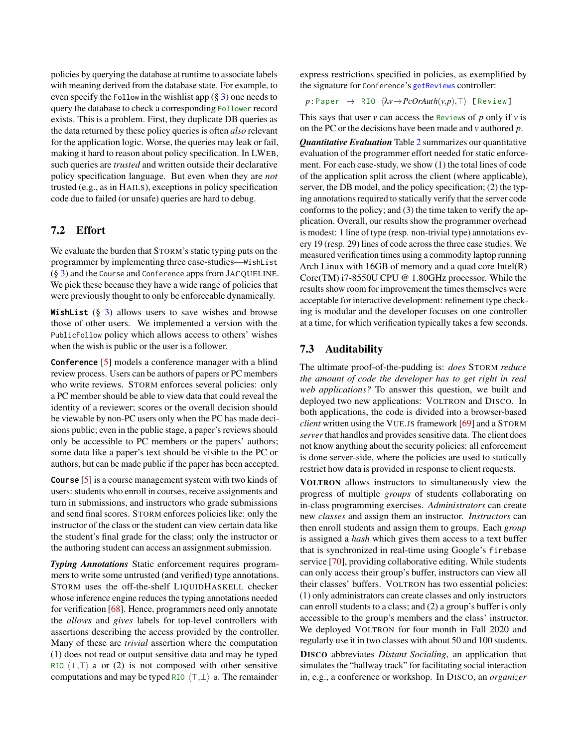policies by querying the database at runtime to associate labels with meaning derived from the database state. For example, to even specify the Follow in the wishlist app (§ [3\)](#page-2-0) one needs to query the database to check a corresponding Follower record exists. This is a problem. First, they duplicate DB queries as the data returned by these policy queries is often *also* relevant for the application logic. Worse, the queries may leak or fail, making it hard to reason about policy specification. In LWEB, such queries are *trusted* and written outside their declarative policy specification language. But even when they are *not* trusted (e.g., as in HAILS), exceptions in policy specification code due to failed (or unsafe) queries are hard to debug.

### <span id="page-12-0"></span>7.2 Effort

We evaluate the burden that STORM's static typing puts on the programmer by implementing three case-studies—WishList  $(\S 3)$  $(\S 3)$  and the Course and Conference apps from JACQUELINE. We pick these because they have a wide range of policies that were previously thought to only be enforceable dynamically.

**WishList** (§ [3\)](#page-2-0) allows users to save wishes and browse those of other users. We implemented a version with the PublicFollow policy which allows access to others' wishes when the wish is public or the user is a follower.

**Conference** [\[5\]](#page-14-4) models a conference manager with a blind review process. Users can be authors of papers or PC members who write reviews. STORM enforces several policies: only a PC member should be able to view data that could reveal the identity of a reviewer; scores or the overall decision should be viewable by non-PC users only when the PC has made decisions public; even in the public stage, a paper's reviews should only be accessible to PC members or the papers' authors; some data like a paper's text should be visible to the PC or authors, but can be made public if the paper has been accepted.

**Course** [\[5\]](#page-14-4) is a course management system with two kinds of users: students who enroll in courses, receive assignments and turn in submissions, and instructors who grade submissions and send final scores. STORM enforces policies like: only the instructor of the class or the student can view certain data like the student's final grade for the class; only the instructor or the authoring student can access an assignment submission.

*Typing Annotations* Static enforcement requires programmers to write some untrusted (and verified) type annotations. STORM uses the off-the-shelf LIQUIDHASKELL checker whose inference engine reduces the typing annotations needed for verification [\[68\]](#page-16-15). Hence, programmers need only annotate the *allows* and *gives* labels for top-level controllers with assertions describing the access provided by the controller. Many of these are *trivial* assertion where the computation (1) does not read or output sensitive data and may be typed RIO  $\langle \perp, \perp \rangle$  a or (2) is not composed with other sensitive computations and may be typed RIO  $\langle \top, \bot \rangle$  a. The remainder

express restrictions specified in policies, as exemplified by the signature for Conference's getReviews controller:

 $p:$  Paper  $\rightarrow$  RIO  $\langle \lambda v \rightarrow PcOrAuth(v,p), \top \rangle$  [Review]

This says that user *v* can access the Reviews of *p* only if *v* is on the PC or the decisions have been made and *v* authored *p*.

*Quantitative Evaluation* Table [2](#page-13-0) summarizes our quantitative evaluation of the programmer effort needed for static enforcement. For each case-study, we show (1) the total lines of code of the application split across the client (where applicable), server, the DB model, and the policy specification; (2) the typing annotations required to statically verify that the server code conforms to the policy; and (3) the time taken to verify the application. Overall, our results show the programmer overhead is modest: 1 line of type (resp. non-trivial type) annotations every 19 (resp. 29) lines of code across the three case studies. We measured verification times using a commodity laptop running Arch Linux with 16GB of memory and a quad core Intel(R) Core(TM) i7-8550U CPU @ 1.80GHz processor. While the results show room for improvement the times themselves were acceptable for interactive development: refinement type checking is modular and the developer focuses on one controller at a time, for which verification typically takes a few seconds.

### <span id="page-12-1"></span>7.3 Auditability

The ultimate proof-of-the-pudding is: *does* STORM *reduce the amount of code the developer has to get right in real web applications?* To answer this question, we built and deployed two new applications: VOLTRON and DISCO. In both applications, the code is divided into a browser-based *client* written using the VUE.JS framework [\[69\]](#page-16-16) and a STORM *server* that handles and provides sensitive data. The client does not know anything about the security policies: all enforcement is done server-side, where the policies are used to statically restrict how data is provided in response to client requests.

VOLTRON allows instructors to simultaneously view the progress of multiple *groups* of students collaborating on in-class programming exercises. *Administrators* can create new *classes* and assign them an instructor. *Instructors* can then enroll students and assign them to groups. Each *group* is assigned a *hash* which gives them access to a text buffer that is synchronized in real-time using Google's firebase service [\[70\]](#page-16-17), providing collaborative editing. While students can only access their group's buffer, instructors can view all their classes' buffers. VOLTRON has two essential policies: (1) only administrators can create classes and only instructors can enroll students to a class; and (2) a group's buffer is only accessible to the group's members and the class' instructor. We deployed VOLTRON for four month in Fall 2020 and regularly use it in two classes with about 50 and 100 students. DISCO abbreviates *Distant Socialing*, an application that simulates the "hallway track" for facilitating social interaction

in, e.g., a conference or workshop. In DISCO, an *organizer*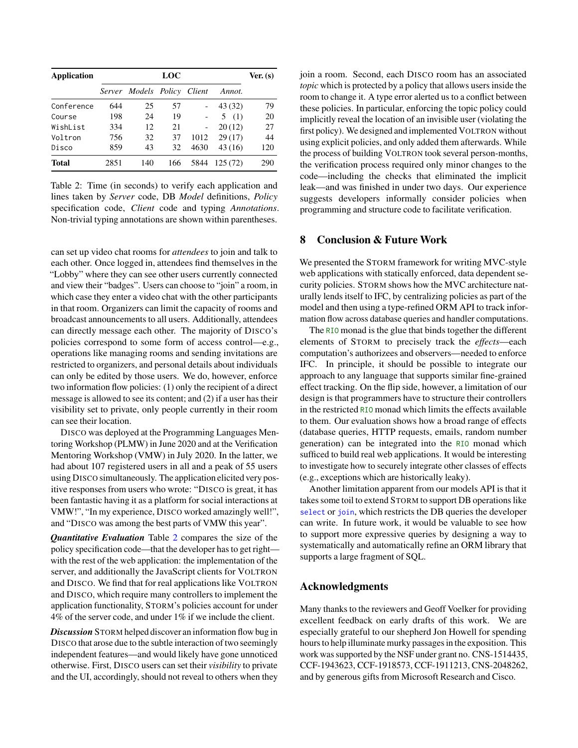<span id="page-13-0"></span>

| <b>Application</b> | LOC  |                             |     |      |          | Ver. (s) |
|--------------------|------|-----------------------------|-----|------|----------|----------|
|                    |      | Server Models Policy Client |     |      | Annot.   |          |
| Conference         | 644  | 25                          | 57  |      | 43 (32)  | 79       |
| Course             | 198  | 24                          | 19  |      | 5(1)     | 20       |
| WishList           | 334  | 12                          | 21  |      | 20(12)   | 27       |
| Voltron            | 756  | 32                          | 37  | 1012 | 29(17)   | 44       |
| Disco              | 859  | 43                          | 32  | 4630 | 43(16)   | 120      |
| Total              | 2851 | 140                         | 166 | 5844 | 125 (72) | 290      |

Table 2: Time (in seconds) to verify each application and lines taken by *Server* code, DB *Model* definitions, *Policy* specification code, *Client* code and typing *Annotations*. Non-trivial typing annotations are shown within parentheses.

can set up video chat rooms for *attendees* to join and talk to each other. Once logged in, attendees find themselves in the "Lobby" where they can see other users currently connected and view their "badges". Users can choose to "join" a room, in which case they enter a video chat with the other participants in that room. Organizers can limit the capacity of rooms and broadcast announcements to all users. Additionally, attendees can directly message each other. The majority of DISCO's policies correspond to some form of access control—e.g., operations like managing rooms and sending invitations are restricted to organizers, and personal details about individuals can only be edited by those users. We do, however, enforce two information flow policies: (1) only the recipient of a direct message is allowed to see its content; and (2) if a user has their visibility set to private, only people currently in their room can see their location.

DISCO was deployed at the Programming Languages Mentoring Workshop (PLMW) in June 2020 and at the Verification Mentoring Workshop (VMW) in July 2020. In the latter, we had about 107 registered users in all and a peak of 55 users using DISCO simultaneously. The application elicited very positive responses from users who wrote: "DISCO is great, it has been fantastic having it as a platform for social interactions at VMW!", "In my experience, DISCO worked amazingly well!", and "DISCO was among the best parts of VMW this year".

*Quantitative Evaluation* Table [2](#page-13-0) compares the size of the policy specification code—that the developer has to get right with the rest of the web application: the implementation of the server, and additionally the JavaScript clients for VOLTRON and DISCO. We find that for real applications like VOLTRON and DISCO, which require many controllers to implement the application functionality, STORM's policies account for under 4% of the server code, and under 1% if we include the client.

*Discussion* STORM helped discover an information flow bug in DISCO that arose due to the subtle interaction of two seemingly independent features—and would likely have gone unnoticed otherwise. First, DISCO users can set their *visibility* to private and the UI, accordingly, should not reveal to others when they join a room. Second, each DISCO room has an associated *topic* which is protected by a policy that allows users inside the room to change it. A type error alerted us to a conflict between these policies. In particular, enforcing the topic policy could implicitly reveal the location of an invisible user (violating the first policy). We designed and implemented VOLTRON without using explicit policies, and only added them afterwards. While the process of building VOLTRON took several person-months, the verification process required only minor changes to the code—including the checks that eliminated the implicit leak—and was finished in under two days. Our experience suggests developers informally consider policies when programming and structure code to facilitate verification.

#### 8 Conclusion & Future Work

We presented the STORM framework for writing MVC-style web applications with statically enforced, data dependent security policies. STORM shows how the MVC architecture naturally lends itself to IFC, by centralizing policies as part of the model and then using a type-refined ORM API to track information flow across database queries and handler computations.

The RIO monad is the glue that binds together the different elements of STORM to precisely track the *effects*—each computation's authorizees and observers—needed to enforce IFC. In principle, it should be possible to integrate our approach to any language that supports similar fine-grained effect tracking. On the flip side, however, a limitation of our design is that programmers have to structure their controllers in the restricted RIO monad which limits the effects available to them. Our evaluation shows how a broad range of effects (database queries, HTTP requests, emails, random number generation) can be integrated into the RIO monad which sufficed to build real web applications. It would be interesting to investigate how to securely integrate other classes of effects (e.g., exceptions which are historically leaky).

Another limitation apparent from our models API is that it takes some toil to extend STORM to support DB operations like select or join, which restricts the DB queries the developer can write. In future work, it would be valuable to see how to support more expressive queries by designing a way to systematically and automatically refine an ORM library that supports a large fragment of SQL.

### Acknowledgments

Many thanks to the reviewers and Geoff Voelker for providing excellent feedback on early drafts of this work. We are especially grateful to our shepherd Jon Howell for spending hours to help illuminate murky passages in the exposition. This work was supported by the NSF under grant no. CNS-1514435, CCF-1943623, CCF-1918573, CCF-1911213, CNS-2048262, and by generous gifts from Microsoft Research and Cisco.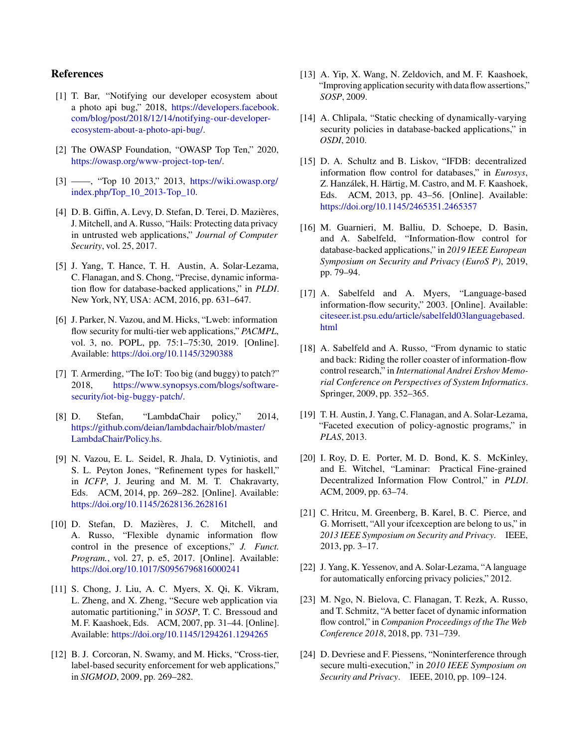### References

- <span id="page-14-0"></span>[1] T. Bar, "Notifying our developer ecosystem about a photo api bug," 2018, [https://developers.facebook.](https://developers.facebook.com/blog/post/2018/12/14/notifying-our-developer-ecosystem-about-a-photo-api-bug/) [com/blog/post/2018/12/14/notifying-our-developer](https://developers.facebook.com/blog/post/2018/12/14/notifying-our-developer-ecosystem-about-a-photo-api-bug/)[ecosystem-about-a-photo-api-bug/.](https://developers.facebook.com/blog/post/2018/12/14/notifying-our-developer-ecosystem-about-a-photo-api-bug/)
- <span id="page-14-1"></span>[2] The OWASP Foundation, "OWASP Top Ten," 2020, [https://owasp.org/www-project-top-ten/.](https://owasp.org/www-project-top-ten/)
- <span id="page-14-2"></span>[3] ——, "Top 10 2013," 2013, [https://wiki.owasp.org/](https://wiki.owasp.org/index.php/Top_10_2013-Top_10) [index.php/Top\\_10\\_2013-Top\\_10.](https://wiki.owasp.org/index.php/Top_10_2013-Top_10)
- <span id="page-14-3"></span>[4] D. B. Giffin, A. Levy, D. Stefan, D. Terei, D. Mazières, J. Mitchell, and A. Russo, "Hails: Protecting data privacy in untrusted web applications," *Journal of Computer Security*, vol. 25, 2017.
- <span id="page-14-4"></span>[5] J. Yang, T. Hance, T. H. Austin, A. Solar-Lezama, C. Flanagan, and S. Chong, "Precise, dynamic information flow for database-backed applications," in *PLDI*. New York, NY, USA: ACM, 2016, pp. 631–647.
- <span id="page-14-5"></span>[6] J. Parker, N. Vazou, and M. Hicks, "Lweb: information flow security for multi-tier web applications," *PACMPL*, vol. 3, no. POPL, pp. 75:1–75:30, 2019. [Online]. Available: <https://doi.org/10.1145/3290388>
- <span id="page-14-6"></span>[7] T. Armerding, "The IoT: Too big (and buggy) to patch?" 2018, [https://www.synopsys.com/blogs/software](https://www.synopsys.com/blogs/software-security/iot-big-buggy-patch/)[security/iot-big-buggy-patch/.](https://www.synopsys.com/blogs/software-security/iot-big-buggy-patch/)
- <span id="page-14-7"></span>[8] D. Stefan, "LambdaChair policy," 2014, [https://github.com/deian/lambdachair/blob/master/](https://github.com/deian/lambdachair/blob/master/LambdaChair/Policy.hs) [LambdaChair/Policy.hs.](https://github.com/deian/lambdachair/blob/master/LambdaChair/Policy.hs)
- <span id="page-14-8"></span>[9] N. Vazou, E. L. Seidel, R. Jhala, D. Vytiniotis, and S. L. Peyton Jones, "Refinement types for haskell," in *ICFP*, J. Jeuring and M. M. T. Chakravarty, Eds. ACM, 2014, pp. 269–282. [Online]. Available: <https://doi.org/10.1145/2628136.2628161>
- <span id="page-14-9"></span>[10] D. Stefan, D. Mazières, J. C. Mitchell, and A. Russo, "Flexible dynamic information flow control in the presence of exceptions," *J. Funct. Program.*, vol. 27, p. e5, 2017. [Online]. Available: <https://doi.org/10.1017/S0956796816000241>
- <span id="page-14-10"></span>[11] S. Chong, J. Liu, A. C. Myers, X. Qi, K. Vikram, L. Zheng, and X. Zheng, "Secure web application via automatic partitioning," in *SOSP*, T. C. Bressoud and M. F. Kaashoek, Eds. ACM, 2007, pp. 31–44. [Online]. Available: <https://doi.org/10.1145/1294261.1294265>
- <span id="page-14-11"></span>[12] B. J. Corcoran, N. Swamy, and M. Hicks, "Cross-tier, label-based security enforcement for web applications," in *SIGMOD*, 2009, pp. 269–282.
- <span id="page-14-12"></span>[13] A. Yip, X. Wang, N. Zeldovich, and M. F. Kaashoek, "Improving application security with data flow assertions," *SOSP*, 2009.
- <span id="page-14-13"></span>[14] A. Chlipala, "Static checking of dynamically-varying security policies in database-backed applications," in *OSDI*, 2010.
- <span id="page-14-14"></span>[15] D. A. Schultz and B. Liskov, "IFDB: decentralized information flow control for databases," in *Eurosys*, Z. Hanzálek, H. Härtig, M. Castro, and M. F. Kaashoek, Eds. ACM, 2013, pp. 43–56. [Online]. Available: <https://doi.org/10.1145/2465351.2465357>
- <span id="page-14-15"></span>[16] M. Guarnieri, M. Balliu, D. Schoepe, D. Basin, and A. Sabelfeld, "Information-flow control for database-backed applications," in *2019 IEEE European Symposium on Security and Privacy (EuroS P)*, 2019, pp. 79–94.
- <span id="page-14-16"></span>[17] A. Sabelfeld and A. Myers, "Language-based information-flow security," 2003. [Online]. Available: [citeseer.ist.psu.edu/article/sabelfeld03languagebased.](citeseer.ist.psu.edu/article/sabelfeld03languagebased.html) [html](citeseer.ist.psu.edu/article/sabelfeld03languagebased.html)
- <span id="page-14-17"></span>[18] A. Sabelfeld and A. Russo, "From dynamic to static and back: Riding the roller coaster of information-flow control research," in *International Andrei Ershov Memorial Conference on Perspectives of System Informatics*. Springer, 2009, pp. 352–365.
- <span id="page-14-18"></span>[19] T. H. Austin, J. Yang, C. Flanagan, and A. Solar-Lezama, "Faceted execution of policy-agnostic programs," in *PLAS*, 2013.
- [20] I. Roy, D. E. Porter, M. D. Bond, K. S. McKinley, and E. Witchel, "Laminar: Practical Fine-grained Decentralized Information Flow Control," in *PLDI*. ACM, 2009, pp. 63–74.
- [21] C. Hritcu, M. Greenberg, B. Karel, B. C. Pierce, and G. Morrisett, "All your ifcexception are belong to us," in *2013 IEEE Symposium on Security and Privacy*. IEEE, 2013, pp. 3–17.
- <span id="page-14-19"></span>[22] J. Yang, K. Yessenov, and A. Solar-Lezama, "A language for automatically enforcing privacy policies," 2012.
- <span id="page-14-20"></span>[23] M. Ngo, N. Bielova, C. Flanagan, T. Rezk, A. Russo, and T. Schmitz, "A better facet of dynamic information flow control," in *Companion Proceedings of the The Web Conference 2018*, 2018, pp. 731–739.
- <span id="page-14-21"></span>[24] D. Devriese and F. Piessens, "Noninterference through secure multi-execution," in *2010 IEEE Symposium on Security and Privacy*. IEEE, 2010, pp. 109–124.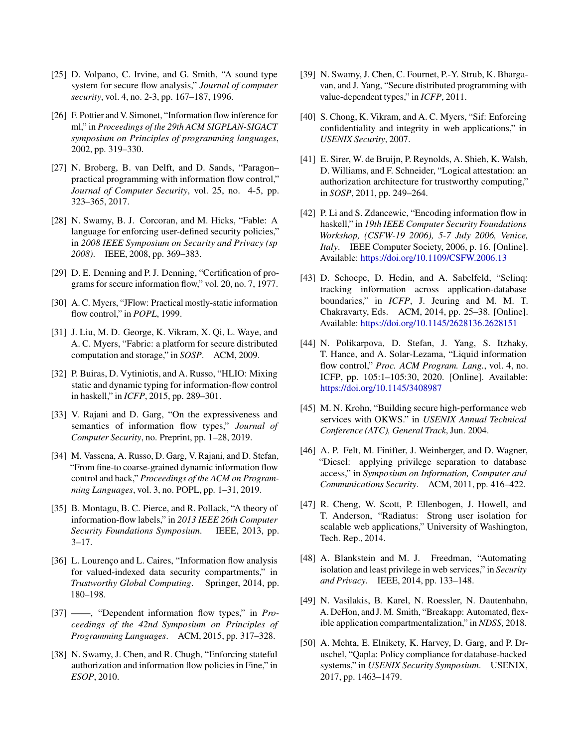- <span id="page-15-0"></span>[25] D. Volpano, C. Irvine, and G. Smith, "A sound type system for secure flow analysis," *Journal of computer security*, vol. 4, no. 2-3, pp. 167–187, 1996.
- [26] F. Pottier and V. Simonet, "Information flow inference for ml," in *Proceedings of the 29th ACM SIGPLAN-SIGACT symposium on Principles of programming languages*, 2002, pp. 319–330.
- [27] N. Broberg, B. van Delft, and D. Sands, "Paragon– practical programming with information flow control," *Journal of Computer Security*, vol. 25, no. 4-5, pp. 323–365, 2017.
- <span id="page-15-1"></span>[28] N. Swamy, B. J. Corcoran, and M. Hicks, "Fable: A language for enforcing user-defined security policies," in *2008 IEEE Symposium on Security and Privacy (sp 2008)*. IEEE, 2008, pp. 369–383.
- <span id="page-15-2"></span>[29] D. E. Denning and P. J. Denning, "Certification of programs for secure information flow," vol. 20, no. 7, 1977.
- <span id="page-15-3"></span>[30] A. C. Myers, "JFlow: Practical mostly-static information flow control," in *POPL*, 1999.
- [31] J. Liu, M. D. George, K. Vikram, X. Qi, L. Waye, and A. C. Myers, "Fabric: a platform for secure distributed computation and storage," in *SOSP*. ACM, 2009.
- <span id="page-15-4"></span>[32] P. Buiras, D. Vytiniotis, and A. Russo, "HLIO: Mixing" static and dynamic typing for information-flow control in haskell," in *ICFP*, 2015, pp. 289–301.
- <span id="page-15-5"></span>[33] V. Rajani and D. Garg, "On the expressiveness and semantics of information flow types," *Journal of Computer Security*, no. Preprint, pp. 1–28, 2019.
- <span id="page-15-6"></span>[34] M. Vassena, A. Russo, D. Garg, V. Rajani, and D. Stefan, "From fine-to coarse-grained dynamic information flow control and back," *Proceedings of the ACM on Programming Languages*, vol. 3, no. POPL, pp. 1–31, 2019.
- <span id="page-15-7"></span>[35] B. Montagu, B. C. Pierce, and R. Pollack, "A theory of information-flow labels," in *2013 IEEE 26th Computer Security Foundations Symposium*. IEEE, 2013, pp. 3–17.
- <span id="page-15-8"></span>[36] L. Lourenço and L. Caires, "Information flow analysis for valued-indexed data security compartments," in *Trustworthy Global Computing*. Springer, 2014, pp. 180–198.
- [37] ——, "Dependent information flow types," in *Proceedings of the 42nd Symposium on Principles of Programming Languages*. ACM, 2015, pp. 317–328.
- <span id="page-15-9"></span>[38] N. Swamy, J. Chen, and R. Chugh, "Enforcing stateful authorization and information flow policies in Fine," in *ESOP*, 2010.
- <span id="page-15-10"></span>[39] N. Swamy, J. Chen, C. Fournet, P.-Y. Strub, K. Bhargavan, and J. Yang, "Secure distributed programming with value-dependent types," in *ICFP*, 2011.
- <span id="page-15-11"></span>[40] S. Chong, K. Vikram, and A. C. Myers, "Sif: Enforcing confidentiality and integrity in web applications," in *USENIX Security*, 2007.
- <span id="page-15-12"></span>[41] E. Sirer, W. de Bruijn, P. Reynolds, A. Shieh, K. Walsh, D. Williams, and F. Schneider, "Logical attestation: an authorization architecture for trustworthy computing," in *SOSP*, 2011, pp. 249–264.
- <span id="page-15-13"></span>[42] P. Li and S. Zdancewic, "Encoding information flow in haskell," in *19th IEEE Computer Security Foundations Workshop, (CSFW-19 2006), 5-7 July 2006, Venice, Italy*. IEEE Computer Society, 2006, p. 16. [Online]. Available: <https://doi.org/10.1109/CSFW.2006.13>
- <span id="page-15-14"></span>[43] D. Schoepe, D. Hedin, and A. Sabelfeld, "Seling: tracking information across application-database boundaries," in *ICFP*, J. Jeuring and M. M. T. Chakravarty, Eds. ACM, 2014, pp. 25–38. [Online]. Available: <https://doi.org/10.1145/2628136.2628151>
- <span id="page-15-15"></span>[44] N. Polikarpova, D. Stefan, J. Yang, S. Itzhaky, T. Hance, and A. Solar-Lezama, "Liquid information flow control," *Proc. ACM Program. Lang.*, vol. 4, no. ICFP, pp. 105:1–105:30, 2020. [Online]. Available: <https://doi.org/10.1145/3408987>
- <span id="page-15-16"></span>[45] M. N. Krohn, "Building secure high-performance web services with OKWS." in *USENIX Annual Technical Conference (ATC), General Track*, Jun. 2004.
- [46] A. P. Felt, M. Finifter, J. Weinberger, and D. Wagner, "Diesel: applying privilege separation to database access," in *Symposium on Information, Computer and Communications Security*. ACM, 2011, pp. 416–422.
- [47] R. Cheng, W. Scott, P. Ellenbogen, J. Howell, and T. Anderson, "Radiatus: Strong user isolation for scalable web applications," University of Washington, Tech. Rep., 2014.
- [48] A. Blankstein and M. J. Freedman, "Automating isolation and least privilege in web services," in *Security and Privacy*. IEEE, 2014, pp. 133–148.
- <span id="page-15-17"></span>[49] N. Vasilakis, B. Karel, N. Roessler, N. Dautenhahn, A. DeHon, and J. M. Smith, "Breakapp: Automated, flexible application compartmentalization," in *NDSS*, 2018.
- <span id="page-15-18"></span>[50] A. Mehta, E. Elnikety, K. Harvey, D. Garg, and P. Druschel, "Qapla: Policy compliance for database-backed systems," in *USENIX Security Symposium*. USENIX, 2017, pp. 1463–1479.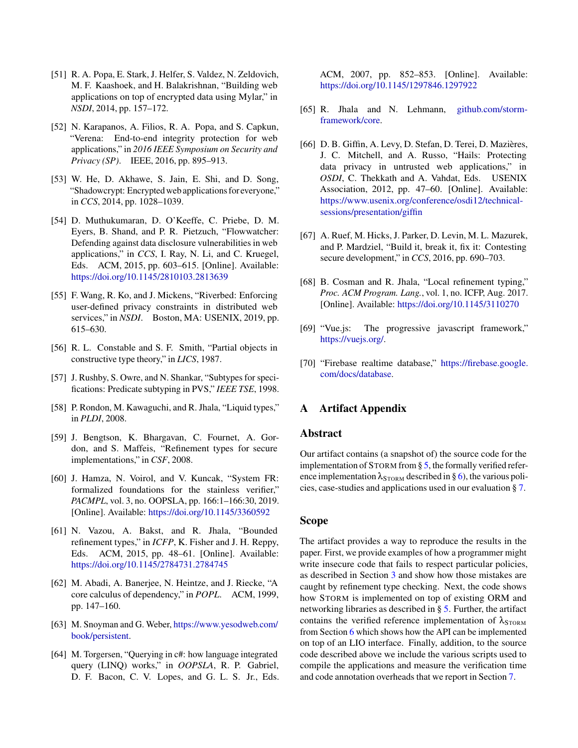- <span id="page-16-0"></span>[51] R. A. Popa, E. Stark, J. Helfer, S. Valdez, N. Zeldovich, M. F. Kaashoek, and H. Balakrishnan, "Building web applications on top of encrypted data using Mylar," in *NSDI*, 2014, pp. 157–172.
- [52] N. Karapanos, A. Filios, R. A. Popa, and S. Capkun, "Verena: End-to-end integrity protection for web applications," in *2016 IEEE Symposium on Security and Privacy (SP)*. IEEE, 2016, pp. 895–913.
- <span id="page-16-1"></span>[53] W. He, D. Akhawe, S. Jain, E. Shi, and D. Song, "Shadowcrypt: Encrypted web applications for everyone," in *CCS*, 2014, pp. 1028–1039.
- <span id="page-16-2"></span>[54] D. Muthukumaran, D. O'Keeffe, C. Priebe, D. M. Eyers, B. Shand, and P. R. Pietzuch, "Flowwatcher: Defending against data disclosure vulnerabilities in web applications," in *CCS*, I. Ray, N. Li, and C. Kruegel, Eds. ACM, 2015, pp. 603–615. [Online]. Available: <https://doi.org/10.1145/2810103.2813639>
- <span id="page-16-3"></span>[55] F. Wang, R. Ko, and J. Mickens, "Riverbed: Enforcing user-defined privacy constraints in distributed web services," in *NSDI*. Boston, MA: USENIX, 2019, pp. 615–630.
- <span id="page-16-4"></span>[56] R. L. Constable and S. F. Smith, "Partial objects in constructive type theory," in *LICS*, 1987.
- <span id="page-16-5"></span>[57] J. Rushby, S. Owre, and N. Shankar, "Subtypes for specifications: Predicate subtyping in PVS," *IEEE TSE*, 1998.
- <span id="page-16-6"></span>[58] P. Rondon, M. Kawaguchi, and R. Jhala, "Liquid types," in *PLDI*, 2008.
- [59] J. Bengtson, K. Bhargavan, C. Fournet, A. Gordon, and S. Maffeis, "Refinement types for secure implementations," in *CSF*, 2008.
- <span id="page-16-7"></span>[60] J. Hamza, N. Voirol, and V. Kuncak, "System FR: formalized foundations for the stainless verifier," *PACMPL*, vol. 3, no. OOPSLA, pp. 166:1–166:30, 2019. [Online]. Available: <https://doi.org/10.1145/3360592>
- <span id="page-16-8"></span>[61] N. Vazou, A. Bakst, and R. Jhala, "Bounded refinement types," in *ICFP*, K. Fisher and J. H. Reppy, Eds. ACM, 2015, pp. 48–61. [Online]. Available: <https://doi.org/10.1145/2784731.2784745>
- <span id="page-16-9"></span>[62] M. Abadi, A. Banerjee, N. Heintze, and J. Riecke, "A core calculus of dependency," in *POPL*. ACM, 1999, pp. 147–160.
- <span id="page-16-10"></span>[63] M. Snoyman and G. Weber, [https://www.yesodweb.com/](https://www.yesodweb.com/book/persistent) [book/persistent.](https://www.yesodweb.com/book/persistent)
- <span id="page-16-11"></span>[64] M. Torgersen, "Querying in c#: how language integrated query (LINQ) works," in *OOPSLA*, R. P. Gabriel, D. F. Bacon, C. V. Lopes, and G. L. S. Jr., Eds.

ACM, 2007, pp. 852–853. [Online]. Available: <https://doi.org/10.1145/1297846.1297922>

- <span id="page-16-12"></span>[65] R. Jhala and N. Lehmann, [github.com/storm](github.com/storm-framework/core)[framework/core.](github.com/storm-framework/core)
- <span id="page-16-13"></span>[66] D. B. Giffin, A. Levy, D. Stefan, D. Terei, D. Mazières, J. C. Mitchell, and A. Russo, "Hails: Protecting data privacy in untrusted web applications," in *OSDI*, C. Thekkath and A. Vahdat, Eds. USENIX Association, 2012, pp. 47–60. [Online]. Available: [https://www.usenix.org/conference/osdi12/technical](https://www.usenix.org/conference/osdi12/technical-sessions/presentation/giffin)[sessions/presentation/giffin](https://www.usenix.org/conference/osdi12/technical-sessions/presentation/giffin)
- <span id="page-16-14"></span>[67] A. Ruef, M. Hicks, J. Parker, D. Levin, M. L. Mazurek, and P. Mardziel, "Build it, break it, fix it: Contesting secure development," in *CCS*, 2016, pp. 690–703.
- <span id="page-16-15"></span>[68] B. Cosman and R. Jhala, "Local refinement typing," *Proc. ACM Program. Lang.*, vol. 1, no. ICFP, Aug. 2017. [Online]. Available: <https://doi.org/10.1145/3110270>
- <span id="page-16-16"></span>[69] "Vue.js: The progressive javascript framework," [https://vuejs.org/.](https://vuejs.org/)
- <span id="page-16-17"></span>[70] "Firebase realtime database," [https://firebase.google.](https://firebase.google.com/docs/database) [com/docs/database.](https://firebase.google.com/docs/database)

### A Artifact Appendix

#### Abstract

Our artifact contains (a snapshot of) the source code for the implementation of STORM from  $\S$  [5,](#page-6-0) the formally verified reference implementation  $\lambda_{\text{STORM}}$  described in § [6\)](#page-10-0), the various policies, case-studies and applications used in our evaluation § [7.](#page-11-0)

#### Scope

The artifact provides a way to reproduce the results in the paper. First, we provide examples of how a programmer might write insecure code that fails to respect particular policies, as described in Section [3](#page-2-0) and show how those mistakes are caught by refinement type checking. Next, the code shows how STORM is implemented on top of existing ORM and networking libraries as described in § [5.](#page-6-0) Further, the artifact contains the verified reference implementation of  $\lambda_{STORM}$ from Section [6](#page-10-0) which shows how the API can be implemented on top of an LIO interface. Finally, addition, to the source code described above we include the various scripts used to compile the applications and measure the verification time and code annotation overheads that we report in Section [7.](#page-11-0)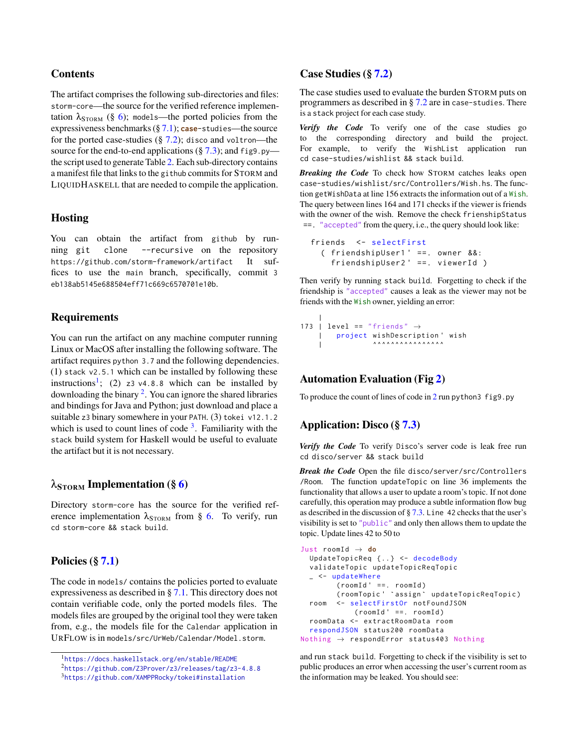# **Contents**

The artifact comprises the following sub-directories and files: storm-core—the source for the verified reference implementation  $\lambda_{STORM}$  (§ [6\)](#page-10-0); models—the ported policies from the expressiveness benchmarks (§ [7.1\)](#page-11-1); **case**-studies—the source for the ported case-studies  $(\S 7.2)$  $(\S 7.2)$ ; disco and voltron—the source for the end-to-end applications  $(\frac{6}{3}, 7.3)$  $(\frac{6}{3}, 7.3)$ ; and figg.py the script used to generate Table [2.](#page-13-0) Each sub-directory contains a manifest file that links to the github commits for STORM and LIQUIDHASKELL that are needed to compile the application.

### Hosting

You can obtain the artifact from github by running git clone --recursive on the repository https://github.com/storm-framework/artifact It suffices to use the main branch, specifically, commit 3 eb138ab5145e688504eff71c669c6570701e10b.

### Requirements

You can run the artifact on any machine computer running Linux or MacOS after installing the following software. The artifact requires python 3.7 and the following dependencies. (1) stack v2.5.1 which can be installed by following these instructions<sup>[1](#page-17-0)</sup>; (2) z3 v4.8.8 which can be installed by downloading the binary <sup>[2](#page-17-1)</sup>. You can ignore the shared libraries and bindings for Java and Python; just download and place a suitable z3 binary somewhere in your PATH. (3) tokei v12.1.2 which is used to count lines of code  $3$ . Familiarity with the stack build system for Haskell would be useful to evaluate the artifact but it is not necessary.

### $\lambda_{STORM}$  Implementation (§ [6\)](#page-10-0)

Directory storm-core has the source for the verified reference implementation  $\lambda_{\text{STORM}}$  from § [6.](#page-10-0) To verify, run cd storm-core && stack build.

# Policies (§ [7.1\)](#page-11-1)

The code in models/ contains the policies ported to evaluate expressiveness as described in § [7.1.](#page-11-1) This directory does not contain verifiable code, only the ported models files. The models files are grouped by the original tool they were taken from, e.g., the models file for the Calendar application in URFLOW is in models/src/UrWeb/Calendar/Model.storm.

#### Case Studies (§ [7.2\)](#page-12-0)

The case studies used to evaluate the burden STORM puts on programmers as described in § [7.2](#page-12-0) are in case-studies. There is a stack project for each case study.

*Verify the Code* To verify one of the case studies go to the corresponding directory and build the project. For example, to verify the WishList application run cd case-studies/wishlist && stack build.

*Breaking the Code* To check how STORM catches leaks open case-studies/wishlist/src/Controllers/Wish.hs. The function getWishData at line 156 extracts the information out of a Wish. The query between lines 164 and 171 checks if the viewer is friends with the owner of the wish. Remove the check frienshipStatus ==. "accepted" from the query, i.e., the query should look like:

```
friends <- selectFirst
  ( friendshipUser1 ' ==. owner &&:
    friendshipUser2 ' ==. viewerId )
```
Then verify by running stack build. Forgetting to check if the friendship is "accepted" causes a leak as the viewer may not be friends with the Wish owner, yielding an error:

```
|
173 | level == "friends" \rightarrow| project wishDescription ' wish
               \parallel \qquad \qquad \qquad \qquad \qquad \qquad \qquad \qquad \qquad \qquad \qquad \qquad \qquad \qquad \qquad \qquad \qquad \qquad \qquad \qquad \qquad \qquad \qquad \qquad \qquad \qquad \qquad \qquad \qquad \qquad \qquad \qquad \qquad \qquad \qquad \qquad \qquad
```
# Automation Evaluation (Fig [2\)](#page-13-0)

To produce the count of lines of code in [2](#page-13-0) run python3 fig9.py

### Application: Disco (§ [7.3\)](#page-12-1)

*Verify the Code* To verify Disco's server code is leak free run cd disco/server && stack build

*Break the Code* Open the file disco/server/src/Controllers /Room. The function updateTopic on line 36 implements the functionality that allows a user to update a room's topic. If not done carefully, this operation may produce a subtle information flow bug as described in the discussion of  $\S 7.3$ . Line 42 checks that the user's visibility is set to "public" and only then allows them to update the topic. Update lines 42 to 50 to

```
Just roomId → do
 UpdateTopicReq {..} <- decodeBody
 validateTopic updateTopicReqTopic
 _ <- updateWhere
        ( roomId ' ==. roomId )
        ( roomTopic ' `assign ` updateTopicReqTopic )
  room <- selectFirstOr notFoundJSON
            ( roomId ' ==. roomId )
  roomData <- extractRoomData room
  respondJSON status200 roomData
Nothing → respondError status403 Nothing
```
and run stack build. Forgetting to check if the visibility is set to public produces an error when accessing the user's current room as the information may be leaked. You should see:

<span id="page-17-0"></span><sup>1</sup><https://docs.haskellstack.org/en/stable/README>

<span id="page-17-1"></span><sup>2</sup><https://github.com/Z3Prover/z3/releases/tag/z3-4.8.8>

<span id="page-17-2"></span><sup>3</sup><https://github.com/XAMPPRocky/tokei#installation>